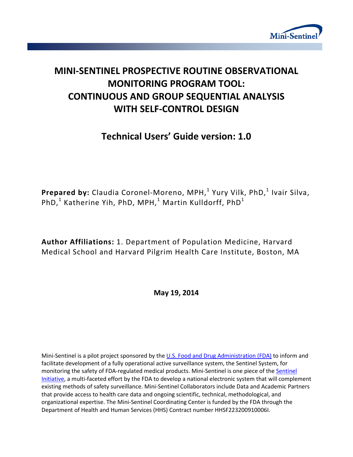

# **MINI-SENTINEL PROSPECTIVE ROUTINE OBSERVATIONAL MONITORING PROGRAM TOOL: CONTINUOUS AND GROUP SEQUENTIAL ANALYSIS WITH SELF-CONTROL DESIGN**

# **Technical Users' Guide version: 1.0**

**Prepared by:** Claudia Coronel-Moreno, MPH,<sup>1</sup> Yury Vilk, PhD,<sup>1</sup> Ivair Silva, PhD,<sup>1</sup> Katherine Yih, PhD, MPH,<sup>1</sup> Martin Kulldorff, PhD<sup>1</sup>

**Author Affiliations:** 1. Department of Population Medicine, Harvard Medical School and Harvard Pilgrim Health Care Institute, Boston, MA

**May 19, 2014**

Mini-Sentinel is a pilot project sponsored by th[e U.S. Food and Drug Administration \(FDA\)](http://www.fda.gov/) to inform and facilitate development of a fully operational active surveillance system, the Sentinel System, for monitoring the safety of FDA-regulated medical products. Mini-Sentinel is one piece of the [Sentinel](http://www.fda.gov/Safety/FDAsSentinelInitiative/default.htm)  [Initiative,](http://www.fda.gov/Safety/FDAsSentinelInitiative/default.htm) a multi-faceted effort by the FDA to develop a national electronic system that will complement existing methods of safety surveillance. Mini-Sentinel Collaborators include Data and Academic Partners that provide access to health care data and ongoing scientific, technical, methodological, and organizational expertise. The Mini-Sentinel Coordinating Center is funded by the FDA through the Department of Health and Human Services (HHS) Contract number HHSF223200910006I.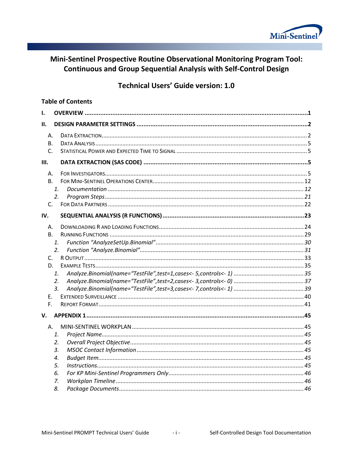

# Mini-Sentinel Prospective Routine Observational Monitoring Program Tool: **Continuous and Group Sequential Analysis with Self-Control Design**

# **Technical Users' Guide version: 1.0**

#### **Table of Contents**

| 1.          |                |  |
|-------------|----------------|--|
| н.          |                |  |
| Α.          |                |  |
| В.          |                |  |
| C.          |                |  |
| Ш.          |                |  |
| А.          |                |  |
| B.          |                |  |
|             | $\mathbf{1}$   |  |
|             | 2.             |  |
| $C_{1}$     |                |  |
| IV.         |                |  |
| А.          |                |  |
| B.          |                |  |
|             | 1.             |  |
|             | 2.             |  |
| $C_{\cdot}$ |                |  |
| D.          |                |  |
|             | 1.             |  |
|             | 2.             |  |
|             | 3 <sub>r</sub> |  |
| Ε.          |                |  |
| F.          |                |  |
| V.          |                |  |
| А.          |                |  |
|             | 1.             |  |
|             | 2.             |  |
|             | 3.             |  |
|             | 4.             |  |
|             | 5.             |  |
|             | 6.             |  |
|             | 7.             |  |
|             | 8.             |  |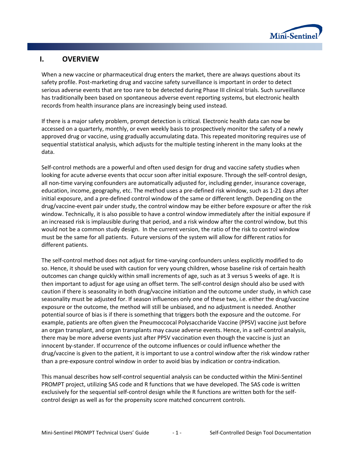

# **I. OVERVIEW**

When a new vaccine or pharmaceutical drug enters the market, there are always questions about its safety profile. Post-marketing drug and vaccine safety surveillance is important in order to detect serious adverse events that are too rare to be detected during Phase III clinical trials. Such surveillance has traditionally been based on spontaneous adverse event reporting systems, but electronic health records from health insurance plans are increasingly being used instead.

If there is a major safety problem, prompt detection is critical. Electronic health data can now be accessed on a quarterly, monthly, or even weekly basis to prospectively monitor the safety of a newly approved drug or vaccine, using gradually accumulating data. This repeated monitoring requires use of sequential statistical analysis, which adjusts for the multiple testing inherent in the many looks at the data.

Self-control methods are a powerful and often used design for drug and vaccine safety studies when looking for acute adverse events that occur soon after initial exposure. Through the self-control design, all non-time varying confounders are automatically adjusted for, including gender, insurance coverage, education, income, geography, etc. The method uses a pre-defined risk window, such as 1-21 days after initial exposure, and a pre-defined control window of the same or different length. Depending on the drug/vaccine-event pair under study, the control window may be either before exposure or after the risk window. Technically, it is also possible to have a control window immediately after the initial exposure if an increased risk is implausible during that period, and a risk window after the control window, but this would not be a common study design. In the current version, the ratio of the risk to control window must be the same for all patients. Future versions of the system will allow for different ratios for different patients.

The self-control method does not adjust for time-varying confounders unless explicitly modified to do so. Hence, it should be used with caution for very young children, whose baseline risk of certain health outcomes can change quickly within small increments of age, such as at 3 versus 5 weeks of age. It is then important to adjust for age using an offset term. The self-control design should also be used with caution if there is seasonality in both drug/vaccine initiation and the outcome under study, in which case seasonality must be adjusted for. If season influences only one of these two, i.e. either the drug/vaccine exposure or the outcome, the method will still be unbiased, and no adjustment is needed. Another potential source of bias is if there is something that triggers both the exposure and the outcome. For example, patients are often given the Pneumoccocal Polysaccharide Vaccine (PPSV) vaccine just before an organ transplant, and organ transplants may cause adverse events. Hence, in a self-control analysis, there may be more adverse events just after PPSV vaccination even though the vaccine is just an innocent by-stander. If occurrence of the outcome influences or could influence whether the drug/vaccine is given to the patient, it is important to use a control window after the risk window rather than a pre-exposure control window in order to avoid bias by indication or contra-indication.

This manual describes how self-control sequential analysis can be conducted within the Mini-Sentinel PROMPT project, utilizing SAS code and R functions that we have developed. The SAS code is written exclusively for the sequential self-control design while the R functions are written both for the selfcontrol design as well as for the propensity score matched concurrent controls.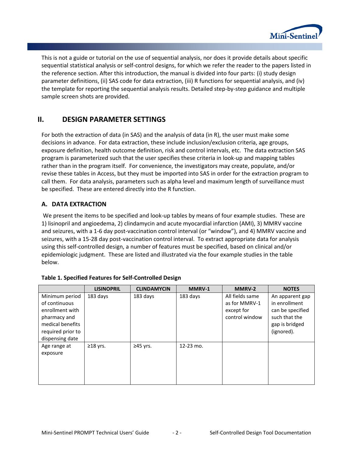

This is not a guide or tutorial on the use of sequential analysis, nor does it provide details about specific sequential statistical analysis or self-control designs, for which we refer the reader to the papers listed in the reference section. After this introduction, the manual is divided into four parts: (i) study design parameter definitions, (ii) SAS code for data extraction, (iii) R functions for sequential analysis, and (iv) the template for reporting the sequential analysis results. Detailed step-by-step guidance and multiple sample screen shots are provided.

# **II. DESIGN PARAMETER SETTINGS**

For both the extraction of data (in SAS) and the analysis of data (in R), the user must make some decisions in advance. For data extraction, these include inclusion/exclusion criteria, age groups, exposure definition, health outcome definition, risk and control intervals, etc. The data extraction SAS program is parameterized such that the user specifies these criteria in look-up and mapping tables rather than in the program itself. For convenience, the investigators may create, populate, and/or revise these tables in Access, but they must be imported into SAS in order for the extraction program to call them. For data analysis, parameters such as alpha level and maximum length of surveillance must be specified. These are entered directly into the R function.

### **A. DATA EXTRACTION**

We present the items to be specified and look-up tables by means of four example studies. These are 1) lisinopril and angioedema, 2) clindamycin and acute myocardial infarction (AMI), 3) MMRV vaccine and seizures, with a 1-6 day post-vaccination control interval (or "window"), and 4) MMRV vaccine and seizures, with a 15-28 day post-vaccination control interval. To extract appropriate data for analysis using this self-controlled design, a number of features must be specified, based on clinical and/or epidemiologic judgment. These are listed and illustrated via the four example studies in the table below.

|                                                                                                                                | <b>LISINOPRIL</b> | <b>CLINDAMYCIN</b> | MMRV-1    | MMRV-2                                                           | <b>NOTES</b>                                                                                          |
|--------------------------------------------------------------------------------------------------------------------------------|-------------------|--------------------|-----------|------------------------------------------------------------------|-------------------------------------------------------------------------------------------------------|
| Minimum period<br>of continuous<br>enrollment with<br>pharmacy and<br>medical benefits<br>required prior to<br>dispensing date | 183 days          | 183 days           | 183 days  | All fields same<br>as for MMRV-1<br>except for<br>control window | An apparent gap<br>in enrollment<br>can be specified<br>such that the<br>gap is bridged<br>(ignored). |
| Age range at<br>exposure                                                                                                       | $\geq$ 18 yrs.    | $\geq$ 45 yrs.     | 12-23 mo. |                                                                  |                                                                                                       |

#### **Table 1. Specified Features for Self-Controlled Design**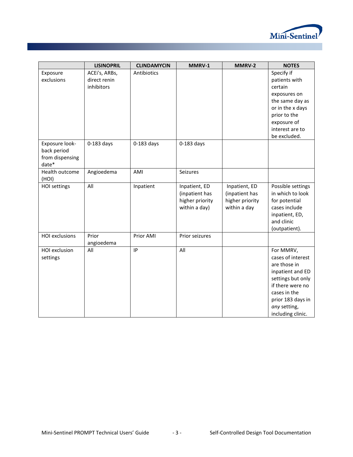

|                       | <b>LISINOPRIL</b> | <b>CLINDAMYCIN</b> | MMRV-1          | MMRV-2          | <b>NOTES</b>      |
|-----------------------|-------------------|--------------------|-----------------|-----------------|-------------------|
| Exposure              | ACEi's, ARBs,     | Antibiotics        |                 |                 | Specify if        |
| exclusions            | direct renin      |                    |                 |                 | patients with     |
|                       | inhibitors        |                    |                 |                 | certain           |
|                       |                   |                    |                 |                 | exposures on      |
|                       |                   |                    |                 |                 | the same day as   |
|                       |                   |                    |                 |                 | or in the x days  |
|                       |                   |                    |                 |                 | prior to the      |
|                       |                   |                    |                 |                 | exposure of       |
|                       |                   |                    |                 |                 | interest are to   |
|                       |                   |                    |                 |                 | be excluded.      |
| Exposure look-        | $0-183$ days      | $0-183$ days       | $0-183$ days    |                 |                   |
| back period           |                   |                    |                 |                 |                   |
| from dispensing       |                   |                    |                 |                 |                   |
| date*                 |                   |                    |                 |                 |                   |
| Health outcome        | Angioedema        | AMI                | Seizures        |                 |                   |
| (HOI)                 |                   |                    |                 |                 |                   |
| HOI settings          | All               | Inpatient          | Inpatient, ED   | Inpatient, ED   | Possible settings |
|                       |                   |                    | (inpatient has  | (inpatient has  | in which to look  |
|                       |                   |                    | higher priority | higher priority | for potential     |
|                       |                   |                    | within a day)   | within a day    | cases include     |
|                       |                   |                    |                 |                 | inpatient, ED,    |
|                       |                   |                    |                 |                 | and clinic        |
|                       |                   |                    |                 |                 | (outpatient).     |
| <b>HOI</b> exclusions | Prior             | Prior AMI          | Prior seizures  |                 |                   |
|                       | angioedema        |                    |                 |                 |                   |
| HOI exclusion         | All               | IP                 | All             |                 | For MMRV,         |
| settings              |                   |                    |                 |                 | cases of interest |
|                       |                   |                    |                 |                 | are those in      |
|                       |                   |                    |                 |                 | inpatient and ED  |
|                       |                   |                    |                 |                 | settings but only |
|                       |                   |                    |                 |                 | if there were no  |
|                       |                   |                    |                 |                 | cases in the      |
|                       |                   |                    |                 |                 | prior 183 days in |
|                       |                   |                    |                 |                 | any setting,      |
|                       |                   |                    |                 |                 | including clinic. |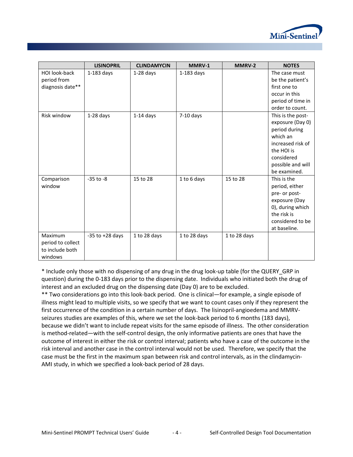

|                                                                   | <b>LISINOPRIL</b>   | <b>CLINDAMYCIN</b> | MMRV-1       | MMRV-2       | <b>NOTES</b>                                                                                                                                             |
|-------------------------------------------------------------------|---------------------|--------------------|--------------|--------------|----------------------------------------------------------------------------------------------------------------------------------------------------------|
| HOI look-back<br>period from<br>diagnosis date**                  | $1-183$ days        | $1-28$ days        | $1-183$ days |              | The case must<br>be the patient's<br>first one to                                                                                                        |
|                                                                   |                     |                    |              |              | occur in this<br>period of time in<br>order to count.                                                                                                    |
| <b>Risk window</b>                                                | $1-28$ days         | $1-14$ days        | $7-10$ days  |              | This is the post-<br>exposure (Day 0)<br>period during<br>which an<br>increased risk of<br>the HOI is<br>considered<br>possible and will<br>be examined. |
| Comparison<br>window                                              | $-35$ to $-8$       | 15 to 28           | 1 to 6 days  | 15 to 28     | This is the<br>period, either<br>pre- or post-<br>exposure (Day<br>0), during which<br>the risk is<br>considered to be<br>at baseline.                   |
| <b>Maximum</b><br>period to collect<br>to include both<br>windows | $-35$ to $+28$ days | 1 to 28 days       | 1 to 28 days | 1 to 28 days |                                                                                                                                                          |

\* Include only those with no dispensing of any drug in the drug look-up table (for the QUERY\_GRP in question) during the 0-183 days prior to the dispensing date. Individuals who initiated both the drug of interest and an excluded drug on the dispensing date (Day 0) are to be excluded.

\*\* Two considerations go into this look-back period. One is clinical—for example, a single episode of illness might lead to multiple visits, so we specify that we want to count cases only if they represent the first occurrence of the condition in a certain number of days. The lisinopril-angioedema and MMRVseizures studies are examples of this, where we set the look-back period to 6 months (183 days), because we didn't want to include repeat visits for the same episode of illness. The other consideration is method-related—with the self-control design, the only informative patients are ones that have the outcome of interest in either the risk or control interval; patients who have a case of the outcome in the risk interval and another case in the control interval would not be used. Therefore, we specify that the case must be the first in the maximum span between risk and control intervals, as in the clindamycin-AMI study, in which we specified a look-back period of 28 days.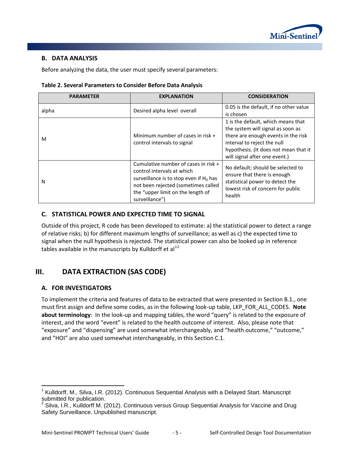

# **B. DATA ANALYSIS**

Before analyzing the data, the user must specify several parameters:

| Table 2. Several Parameters to Consider Before Data Analysis |  |  |  |  |
|--------------------------------------------------------------|--|--|--|--|
|--------------------------------------------------------------|--|--|--|--|

| <b>PARAMETER</b> | <b>EXPLANATION</b>                                                                                                                                                                                            | <b>CONSIDERATION</b>                                                                                                                                                                                                    |
|------------------|---------------------------------------------------------------------------------------------------------------------------------------------------------------------------------------------------------------|-------------------------------------------------------------------------------------------------------------------------------------------------------------------------------------------------------------------------|
| alpha            | Desired alpha level overall                                                                                                                                                                                   | 0.05 is the default, if no other value<br>is chosen                                                                                                                                                                     |
| M                | Minimum number of cases in risk +<br>control intervals to signal                                                                                                                                              | 1 is the default, which means that<br>the system will signal as soon as<br>there are enough events in the risk<br>interval to reject the null<br>hypothesis. (It does not mean that it<br>will signal after one event.) |
| N                | Cumulative number of cases in risk +<br>control intervals at which<br>surveillance is to stop even if $H_0$ has<br>not been rejected (sometimes called<br>the "upper limit on the length of<br>surveillance") | No default; should be selected to<br>ensure that there is enough<br>statistical power to detect the<br>lowest risk of concern for public<br>health                                                                      |

#### **C. STATISTICAL POWER AND EXPECTED TIME TO SIGNAL**

Outside of this project, R code has been developed to estimate: a) the statistical power to detect a range of relative risks; b) for different maximum lengths of surveillance; as well as c) the expected time to signal when the null hypothesis is rejected. The statistical power can also be looked up in reference tables available in the manuscripts by Kulldorff et al<sup>[1](#page-6-0)[2](#page-6-1)</sup>

# **III. DATA EXTRACTION (SAS CODE)**

### **A. FOR INVESTIGATORS**

l

To implement the criteria and features of data to be extracted that were presented in Section B.1., one must first assign and define some codes, as in the following look-up table, LKP\_FOR\_ALL\_CODES. **Note about terminology**: In the look-up and mapping tables, the word "query" is related to the exposure of interest, and the word "event" is related to the health outcome of interest. Also, please note that "exposure" and "dispensing" are used somewhat interchangeably, and "health outcome," "outcome," and "HOI" are also used somewhat interchangeably, in this Section C.1.

<span id="page-6-0"></span><sup>&</sup>lt;sup>1</sup> Kulldorff, M., Silva, I.R. (2012). Continuous Sequential Analysis with a Delayed Start. Manuscript submitted for publication.

<span id="page-6-1"></span> $2$  Silva, I.R., Kulldorff M. (2012). Continuous versus Group Sequential Analysis for Vaccine and Drug Safety Surveillance. Unpublished manuscript.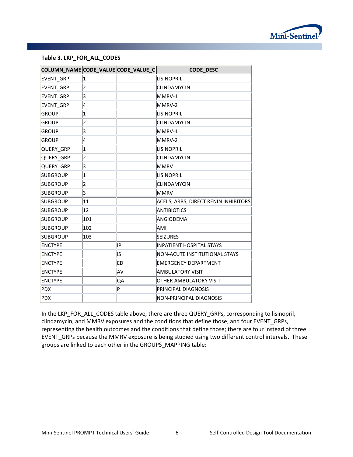

#### **Table 3. LKP\_FOR\_ALL\_CODES**

| COLUMN_NAME CODE_VALUE CODE_VALUE_C |                         |    | <b>CODE_DESC</b>                      |
|-------------------------------------|-------------------------|----|---------------------------------------|
| <b>EVENT GRP</b>                    | $\overline{\mathbf{1}}$ |    | <b>LISINOPRIL</b>                     |
| EVENT_GRP                           | 2                       |    | <b>CLINDAMYCIN</b>                    |
| <b>EVENT GRP</b>                    | 3                       |    | MMRV-1                                |
| <b>EVENT GRP</b>                    | 4                       |    | MMRV-2                                |
| <b>GROUP</b>                        | $\overline{\mathbf{1}}$ |    | <b>LISINOPRIL</b>                     |
| <b>GROUP</b>                        | $\overline{\mathbf{c}}$ |    | <b>CLINDAMYCIN</b>                    |
| <b>GROUP</b>                        | 3                       |    | MMRV-1                                |
| <b>GROUP</b>                        | 4                       |    | MMRV-2                                |
| QUERY_GRP                           | $\overline{1}$          |    | <b>LISINOPRIL</b>                     |
| QUERY GRP                           | $\overline{\mathbf{2}}$ |    | <b>CLINDAMYCIN</b>                    |
| QUERY GRP                           | 3                       |    | <b>MMRV</b>                           |
| <b>SUBGROUP</b>                     | 1                       |    | <b>LISINOPRIL</b>                     |
| <b>SUBGROUP</b>                     | $\overline{2}$          |    | <b>CLINDAMYCIN</b>                    |
| <b>SUBGROUP</b>                     | 3                       |    | <b>MMRV</b>                           |
| <b>SUBGROUP</b>                     | 11                      |    | ACEI'S, ARBS, DIRECT RENIN INHIBITORS |
| <b>SUBGROUP</b>                     | 12                      |    | <b>ANTIBIOTICS</b>                    |
| <b>SUBGROUP</b>                     | 101                     |    | ANGIODEMA                             |
| <b>SUBGROUP</b>                     | 102                     |    | AMI                                   |
| <b>SUBGROUP</b>                     | 103                     |    | <b>SEIZURES</b>                       |
| <b>ENCTYPE</b>                      |                         | IP | INPATIENT HOSPITAL STAYS              |
| <b>ENCTYPE</b>                      |                         | IS | NON-ACUTE INSTITUTIONAL STAYS         |
| <b>ENCTYPE</b>                      |                         | ED | <b>EMERGENCY DEPARTMENT</b>           |
| <b>ENCTYPE</b>                      |                         | AV | AMBULATORY VISIT                      |
| <b>ENCTYPE</b>                      |                         | QA | OTHER AMBULATORY VISIT                |
| <b>PDX</b>                          |                         | P  | PRINCIPAL DIAGNOSIS                   |
| <b>PDX</b>                          |                         |    | NON-PRINCIPAL DIAGNOSIS               |

In the LKP\_FOR\_ALL\_CODES table above, there are three QUERY\_GRPs, corresponding to lisinopril, clindamycin, and MMRV exposures and the conditions that define those, and four EVENT\_GRPs, representing the health outcomes and the conditions that define those; there are four instead of three EVENT GRPs because the MMRV exposure is being studied using two different control intervals. These groups are linked to each other in the GROUPS\_MAPPING table: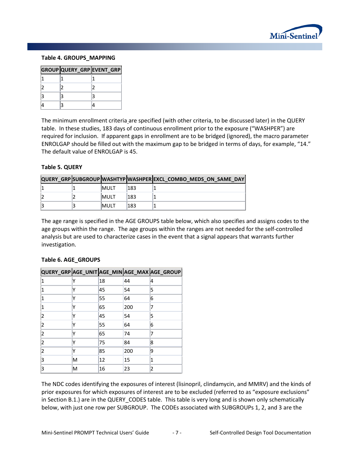

#### **Table 4. GROUPS\_MAPPING**

| GROUP QUERY_GRP EVENT_GRP |  |
|---------------------------|--|
|                           |  |
|                           |  |
|                           |  |
|                           |  |

The minimum enrollment criteria are specified (with other criteria, to be discussed later) in the QUERY table. In these studies, 183 days of continuous enrollment prior to the exposure ("WASHPER") are required for inclusion. If apparent gaps in enrollment are to be bridged (ignored), the macro parameter ENROLGAP should be filled out with the maximum gap to be bridged in terms of days, for example, "14." The default value of ENROLGAP is 45.

#### **Table 5. QUERY**

|  |             |      | QUERY GRP SUBGROUP WASHTYP WASHPER EXCL COMBO MEDS ON SAME DAY |
|--|-------------|------|----------------------------------------------------------------|
|  | <b>MULT</b> | '183 |                                                                |
|  | <b>MULT</b> | 183  |                                                                |
|  | <b>MULT</b> | 183  |                                                                |

The age range is specified in the AGE GROUPS table below, which also specifies and assigns codes to the age groups within the range. The age groups within the ranges are not needed for the self-controlled analysis but are used to characterize cases in the event that a signal appears that warrants further investigation.

#### **Table 6. AGE\_GROUPS**

|   |    |    |     | QUERY_GRP AGE_UNIT AGE_MIN AGE_MAX AGE_GROUP |
|---|----|----|-----|----------------------------------------------|
| 1 |    | 18 | 44  | 14                                           |
| 1 |    | 45 | 54  | 5                                            |
| 1 |    | 55 | 64  | 16                                           |
| 1 |    | 65 | 200 |                                              |
| 2 |    | 45 | 54  | 5                                            |
| 2 |    | 55 | 64  | 6                                            |
| 2 |    | 65 | 74  |                                              |
| 2 |    | 75 | 84  | 18                                           |
| 2 |    | 85 | 200 | 9                                            |
| 3 | ΙM | 12 | 15  |                                              |
| 3 | M  | 16 | 23  | 12                                           |

The NDC codes identifying the exposures of interest (lisinopril, clindamycin, and MMRV) and the kinds of prior exposures for which exposures of interest are to be excluded (referred to as "exposure exclusions" in Section B.1.) are in the QUERY\_CODES table. This table is very long and is shown only schematically below, with just one row per SUBGROUP. The CODEs associated with SUBGROUPs 1, 2, and 3 are the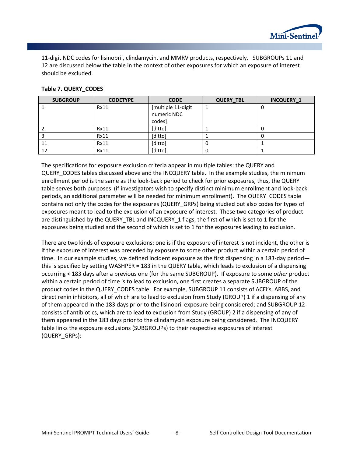

11-digit NDC codes for lisinopril, clindamycin, and MMRV products, respectively. SUBGROUPs 11 and 12 are discussed below the table in the context of other exposures for which an exposure of interest should be excluded.

#### **Table 7. QUERY\_CODES**

| <b>SUBGROUP</b> | <b>CODETYPE</b> | <b>CODE</b>        | <b>QUERY_TBL</b> | <b>INCQUERY_1</b> |
|-----------------|-----------------|--------------------|------------------|-------------------|
|                 | Rx11            | [multiple 11-digit |                  | U                 |
|                 |                 | numeric NDC        |                  |                   |
|                 |                 | codes]             |                  |                   |
|                 | Rx11            | [ditto]            |                  |                   |
|                 | <b>Rx11</b>     | [ditto]            |                  |                   |
| 11              | Rx11            | [ditto]            | O                |                   |
| 12              | <b>Rx11</b>     | [ditto]            | 0                |                   |

The specifications for exposure exclusion criteria appear in multiple tables: the QUERY and QUERY CODES tables discussed above and the INCQUERY table. In the example studies, the minimum enrollment period is the same as the look-back period to check for prior exposures, thus, the QUERY table serves both purposes (if investigators wish to specify distinct minimum enrollment and look-back periods, an additional parameter will be needed for minimum enrollment). The QUERY\_CODES table contains not only the codes for the exposures (QUERY\_GRPs) being studied but also codes for types of exposures meant to lead to the exclusion of an exposure of interest. These two categories of product are distinguished by the QUERY\_TBL and INCQUERY\_1 flags, the first of which is set to 1 for the exposures being studied and the second of which is set to 1 for the exposures leading to exclusion.

There are two kinds of exposure exclusions: one is if the exposure of interest is not incident, the other is if the exposure of interest was preceded by exposure to some other product within a certain period of time. In our example studies, we defined incident exposure as the first dispensing in a 183-day period this is specified by setting WASHPER = 183 in the QUERY table, which leads to exclusion of a dispensing occurring < 183 days after a previous one (for the same SUBGROUP). If exposure to some *other* product within a certain period of time is to lead to exclusion, one first creates a separate SUBGROUP of the product codes in the QUERY\_CODES table. For example, SUBGROUP 11 consists of ACEi's, ARBS, and direct renin inhibitors, all of which are to lead to exclusion from Study (GROUP) 1 if a dispensing of any of them appeared in the 183 days prior to the lisinopril exposure being considered; and SUBGROUP 12 consists of antibiotics, which are to lead to exclusion from Study (GROUP) 2 if a dispensing of any of them appeared in the 183 days prior to the clindamycin exposure being considered. The INCQUERY table links the exposure exclusions (SUBGROUPs) to their respective exposures of interest (QUERY\_GRPs):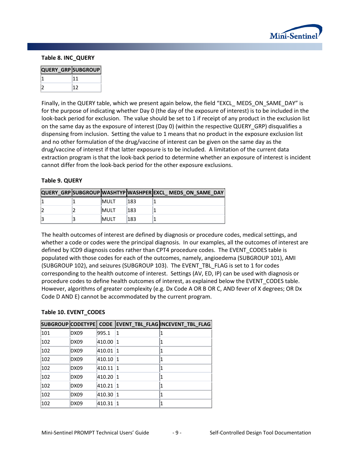

#### **Table 8. INC\_QUERY**

| <b>QUERY_GRP SUBGROUP</b> |  |
|---------------------------|--|
|                           |  |
|                           |  |

Finally, in the QUERY table, which we present again below, the field "EXCL\_ MEDS\_ON\_SAME\_DAY" is for the purpose of indicating whether Day 0 (the day of the exposure of interest) is to be included in the look-back period for exclusion. The value should be set to 1 if receipt of any product in the exclusion list on the same day as the exposure of interest (Day 0) (within the respective QUERY\_GRP) disqualifies a dispensing from inclusion. Setting the value to 1 means that no product in the exposure exclusion list and no other formulation of the drug/vaccine of interest can be given on the same day as the drug/vaccine of interest if that latter exposure is to be included. A limitation of the current data extraction program is that the look-back period to determine whether an exposure of interest is incident cannot differ from the look-back period for the other exposure exclusions.

#### **Table 9. QUERY**

|  |              |     | QUERY GRP SUBGROUP WASHTYP WASHPER EXCL MEDS ON SAME DAY |
|--|--------------|-----|----------------------------------------------------------|
|  | <b>IMULT</b> | 183 |                                                          |
|  | <b>IMULT</b> | 183 |                                                          |
|  | <b>IMULT</b> | 183 |                                                          |

The health outcomes of interest are defined by diagnosis or procedure codes, medical settings, and whether a code or codes were the principal diagnosis. In our examples, all the outcomes of interest are defined by ICD9 diagnosis codes rather than CPT4 procedure codes. The EVENT\_CODES table is populated with those codes for each of the outcomes, namely, angioedema (SUBGROUP 101), AMI (SUBGROUP 102), and seizures (SUBGROUP 103). The EVENT\_TBL\_FLAG is set to 1 for codes corresponding to the health outcome of interest. Settings (AV, ED, IP) can be used with diagnosis or procedure codes to define health outcomes of interest, as explained below the EVENT\_CODES table. However, algorithms of greater complexity (e.g. Dx Code A OR B OR C, AND fever of X degrees; OR Dx Code D AND E) cannot be accommodated by the current program.

#### **Table 10. EVENT\_CODES**

|     |             |        |    | SUBGROUP CODETYPE CODE EVENT_TBL_FLAG INCEVENT_TBL_FLAG |
|-----|-------------|--------|----|---------------------------------------------------------|
| 101 | DX09        | 995.1  | 11 |                                                         |
| 102 | DX09        | 410.00 | 11 |                                                         |
| 102 | DX09        | 410.01 | 11 |                                                         |
| 102 | DX09        | 410.10 | 11 |                                                         |
| 102 | DX09        | 410.11 | 11 |                                                         |
| 102 | DX09        | 410.20 | 11 |                                                         |
| 102 | DX09        | 410.21 | 11 |                                                         |
| 102 | DX09        | 410.30 |    |                                                         |
| 102 | <b>DX09</b> | 410.31 | 11 |                                                         |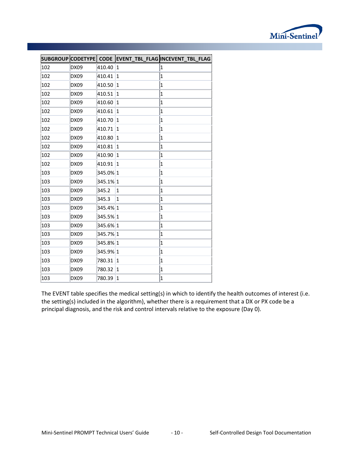

|     |             |          |                         | SUBGROUP CODETYPE CODE EVENT_TBL_FLAG INCEVENT_TBL_FLAG |
|-----|-------------|----------|-------------------------|---------------------------------------------------------|
| 102 | DX09        | 410.40   | 1                       | 1                                                       |
| 102 | DX09        | 410.41   | 1                       | $\mathbf{1}$                                            |
| 102 | <b>DX09</b> | 410.50   | 1                       | $\mathbf 1$                                             |
| 102 | DX09        | 410.51   | 1                       | $\mathbf 1$                                             |
| 102 | DX09        | 410.60   | 1                       | $\overline{1}$                                          |
| 102 | DX09        | 410.61   | 1                       | $\mathbf{1}$                                            |
| 102 | DX09        | 410.70   | 1                       | $\overline{1}$                                          |
| 102 | DX09        | 410.71   | $\mathbf 1$             | $\mathbf{1}$                                            |
| 102 | DX09        | 410.80   | 1                       | $\mathbf 1$                                             |
| 102 | DX09        | 410.81   | 1                       | $\mathbf{1}$                                            |
| 102 | <b>DX09</b> | 410.90   | 1                       | $\mathbf 1$                                             |
| 102 | DX09        | 410.91   | 1                       | $\mathbf 1$                                             |
| 103 | DX09        | 345.0% 1 |                         | $\overline{1}$                                          |
| 103 | DX09        | 345.1% 1 |                         | $\overline{\mathbf{1}}$                                 |
| 103 | DX09        | 345.2    | 1                       | $\mathbf 1$                                             |
| 103 | DX09        | 345.3    | $\overline{\mathbf{1}}$ | $\mathbf{1}$                                            |
| 103 | DX09        | 345.4% 1 |                         | $\mathbf{1}$                                            |
| 103 | DX09        | 345.5% 1 |                         | $\mathbf 1$                                             |
| 103 | DX09        | 345.6% 1 |                         | $\mathbf{1}$                                            |
| 103 | DX09        | 345.7% 1 |                         | $\mathbf 1$                                             |
| 103 | DX09        | 345.8% 1 |                         | $\overline{\mathbf{1}}$                                 |
| 103 | <b>DX09</b> | 345.9% 1 |                         | $\mathbf 1$                                             |
| 103 | <b>DX09</b> | 780.31   | 1                       | $\mathbf 1$                                             |
| 103 | DX09        | 780.32   | 1                       | $\mathbf{1}$                                            |
| 103 | DX09        | 780.39   | 1                       | $\mathbf{1}$                                            |

The EVENT table specifies the medical setting(s) in which to identify the health outcomes of interest (i.e. the setting(s) included in the algorithm), whether there is a requirement that a DX or PX code be a principal diagnosis, and the risk and control intervals relative to the exposure (Day 0).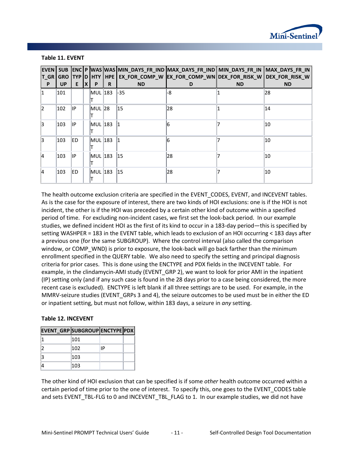

| $T_GR$    | <b>GRO</b> |            |              |         |   |              | EVEN SUB ENC P WAS WAS MIN_DAYS_FR_IND MAX_DAYS_FR_IND MIN_DAYS_FR_IN   MAX_DAYS_FR_IN_<br>  TYP  D  HTY  HPE  EX_FOR_COMP_W  EX_FOR_COMP_WN  DEX_FOR_RISK_W  DEX_FOR_RISK_W |           |           |
|-----------|------------|------------|--------------|---------|---|--------------|------------------------------------------------------------------------------------------------------------------------------------------------------------------------------|-----------|-----------|
| P         | <b>UP</b>  | E.         | $\mathbf{X}$ | P       | R | <b>ND</b>    | D                                                                                                                                                                            | <b>ND</b> | <b>ND</b> |
| 11.       | 101        |            |              | MUL 183 |   | -35          | -8                                                                                                                                                                           |           | 28        |
| $\vert$ 2 | 102        | llP.       |              | MUL 28  |   | 15           | 28                                                                                                                                                                           |           | 14        |
| 3         | 103        | lIP.       |              | MUL 183 |   |              |                                                                                                                                                                              |           | 10        |
| 3         | 103        | <b>IED</b> |              | MUL 183 |   |              |                                                                                                                                                                              |           | 10        |
| 4         | 103        | llP        |              | MUL 183 |   | $ 15\rangle$ | 28                                                                                                                                                                           |           | 10        |
| <b>4</b>  | 103        | <b>IED</b> |              | MUL 183 |   | $ 15\rangle$ | 28                                                                                                                                                                           |           | 10        |

#### **Table 11. EVENT**

The health outcome exclusion criteria are specified in the EVENT\_CODES, EVENT, and INCEVENT tables. As is the case for the exposure of interest, there are two kinds of HOI exclusions: one is if the HOI is not incident, the other is if the HOI was preceded by a certain other kind of outcome within a specified period of time. For excluding non-incident cases, we first set the look-back period. In our example studies, we defined incident HOI as the first of its kind to occur in a 183-day period—this is specified by setting WASHPER = 183 in the EVENT table, which leads to exclusion of an HOI occurring < 183 days after a previous one (for the same SUBGROUP). Where the control interval (also called the comparison window, or COMP\_WND) is prior to exposure, the look-back will go back farther than the minimum enrollment specified in the QUERY table. We also need to specify the setting and principal diagnosis criteria for prior cases. This is done using the ENCTYPE and PDX fields in the INCEVENT table. For example, in the clindamycin-AMI study (EVENT\_GRP 2), we want to look for prior AMI in the inpatient (IP) setting only (and if any such case is found in the 28 days prior to a case being considered, the more recent case is excluded). ENCTYPE is left blank if all three settings are to be used. For example, in the MMRV-seizure studies (EVENT\_GRPs 3 and 4), the seizure outcomes to be used must be in either the ED or inpatient setting, but must not follow, within 183 days, a seizure in *any* setting.

#### **Table 12. INCEVENT**

| EVENT GRP SUBGROUP ENCTYPE PDX |     |    |  |
|--------------------------------|-----|----|--|
|                                | 101 |    |  |
|                                | 102 | ١P |  |
|                                | 103 |    |  |
|                                | 103 |    |  |

The other kind of HOI exclusion that can be specified is if some *other* health outcome occurred within a certain period of time prior to the one of interest. To specify this, one goes to the EVENT\_CODES table and sets EVENT\_TBL-FLG to 0 and INCEVENT\_TBL\_FLAG to 1. In our example studies, we did not have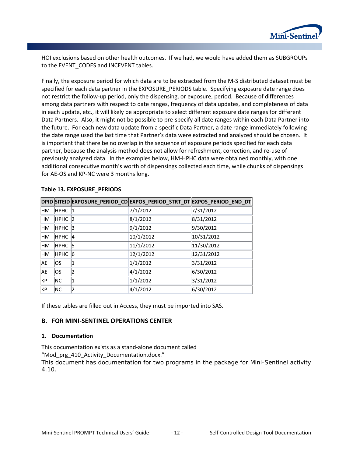

HOI exclusions based on other health outcomes. If we had, we would have added them as SUBGROUPs to the EVENT CODES and INCEVENT tables.

Finally, the exposure period for which data are to be extracted from the M-S distributed dataset must be specified for each data partner in the EXPOSURE\_PERIODS table. Specifying exposure date range does not restrict the follow-up period, only the dispensing, or exposure, period. Because of differences among data partners with respect to date ranges, frequency of data updates, and completeness of data in each update, etc., it will likely be appropriate to select different exposure date ranges for different Data Partners. Also, it might not be possible to pre-specify all date ranges within each Data Partner into the future. For each new data update from a specific Data Partner, a date range immediately following the date range used the last time that Partner's data were extracted and analyzed should be chosen. It is important that there be no overlap in the sequence of exposure periods specified for each data partner, because the analysis method does not allow for refreshment, correction, and re-use of previously analyzed data.In the examples below, HM-HPHC data were obtained monthly, with one additional consecutive month's worth of dispensings collected each time, while chunks of dispensings for AE-OS and KP-NC were 3 months long.

|           |             |           | DPID SITEID EXPOSURE_PERIOD_CD EXPOS_PERIOD_STRT_DT EXPOS_PERIOD_END_DT |            |
|-----------|-------------|-----------|-------------------------------------------------------------------------|------------|
| HМ        | <b>HPHC</b> | $\vert$ 1 | 7/1/2012                                                                | 7/31/2012  |
| <b>HM</b> | <b>HPHC</b> | 2         | 8/1/2012                                                                | 8/31/2012  |
| HМ        | <b>HPHC</b> | $\vert$ 3 | 9/1/2012                                                                | 9/30/2012  |
| HМ        | <b>HPHC</b> | 14        | 10/1/2012                                                               | 10/31/2012 |
| <b>HM</b> | <b>HPHC</b> | 15        | 11/1/2012                                                               | 11/30/2012 |
| <b>HM</b> | <b>HPHC</b> | 16        | 12/1/2012                                                               | 12/31/2012 |
| AE.       | los         |           | 1/1/2012                                                                | 3/31/2012  |
| AE.       | los         | 12        | 4/1/2012                                                                | 6/30/2012  |
| KP        | <b>NC</b>   |           | 1/1/2012                                                                | 3/31/2012  |
| KP        | <b>NC</b>   |           | 4/1/2012                                                                | 6/30/2012  |

#### **Table 13. EXPOSURE\_PERIODS**

If these tables are filled out in Access, they must be imported into SAS.

#### **B. FOR MINI-SENTINEL OPERATIONS CENTER**

#### **1. Documentation**

This documentation exists as a stand-alone document called "Mod\_prg\_410\_Activity\_Documentation.docx."

This document has documentation for two programs in the package for Mini-Sentinel activity 4.10.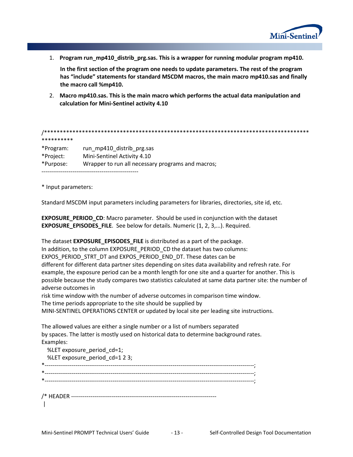

1. **Program run\_mp410\_distrib\_prg.sas. This is a wrapper for running modular program mp410.**

**In the first section of the program one needs to update parameters. The rest of the program has "include" statements for standard MSCDM macros, the main macro mp410.sas and finally the macro call %mp410.**

2. **Macro mp410.sas. This is the main macro which performs the actual data manipulation and calculation for Mini-Sentinel activity 4.10**

/\*\*\*\*\*\*\*\*\*\*\*\*\*\*\*\*\*\*\*\*\*\*\*\*\*\*\*\*\*\*\*\*\*\*\*\*\*\*\*\*\*\*\*\*\*\*\*\*\*\*\*\*\*\*\*\*\*\*\*\*\*\*\*\*\*\*\*\*\*\*\*\*\*\*\*\*\*\*\*\*\*\*\*\* \*\*\*\*\*\*\*\*\*\* \*Program: run\_mp410\_distrib\_prg.sas

\*Project: Mini-Sentinel Activity 4.10 \*Purpose: Wrapper to run all necessary programs and macros;

--------------------------------------------------

\* Input parameters:

Standard MSCDM input parameters including parameters for libraries, directories, site id, etc.

**EXPOSURE\_PERIOD\_CD**: Macro parameter. Should be used in conjunction with the dataset **EXPOSURE\_EPISODES\_FILE**. See below for details. Numeric (1, 2, 3,...). Required.

The dataset **EXPOSURE\_EPISODES\_FILE** is distributed as a part of the package.

In addition, to the column EXPOSURE\_PERIOD\_CD the dataset has two columns:

EXPOS\_PERIOD\_STRT\_DT and EXPOS\_PERIOD\_END\_DT. These dates can be

different for different data partner sites depending on sites data availability and refresh rate. For example, the exposure period can be a month length for one site and a quarter for another. This is possible because the study compares two statistics calculated at same data partner site: the number of adverse outcomes in

risk time window with the number of adverse outcomes in comparison time window. The time periods appropriate to the site should be supplied by

MINI-SENTINEL OPERATIONS CENTER or updated by local site per leading site instructions.

The allowed values are either a single number or a list of numbers separated by spaces. The latter is mostly used on historical data to determine background rates. Examples:

| %LET exposure period cd=1;     |  |
|--------------------------------|--|
| %LET exposure_period_cd=1 2 3; |  |
|                                |  |
|                                |  |
|                                |  |
|                                |  |
|                                |  |
|                                |  |
|                                |  |
|                                |  |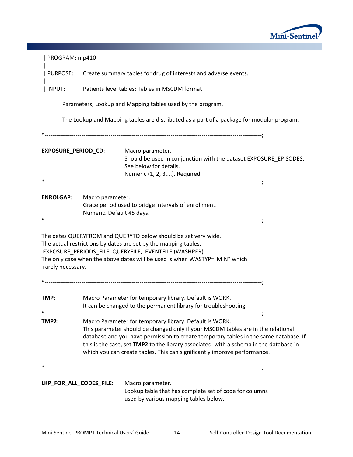

| PROGRAM: mp410          |                                                                          |                                                                                                                                                                                                                                                                                                                                                                                                          |  |  |
|-------------------------|--------------------------------------------------------------------------|----------------------------------------------------------------------------------------------------------------------------------------------------------------------------------------------------------------------------------------------------------------------------------------------------------------------------------------------------------------------------------------------------------|--|--|
|                         | PURPOSE: Create summary tables for drug of interests and adverse events. |                                                                                                                                                                                                                                                                                                                                                                                                          |  |  |
| INPUT:                  | Patients level tables: Tables in MSCDM format                            |                                                                                                                                                                                                                                                                                                                                                                                                          |  |  |
|                         |                                                                          | Parameters, Lookup and Mapping tables used by the program.                                                                                                                                                                                                                                                                                                                                               |  |  |
|                         |                                                                          | The Lookup and Mapping tables are distributed as a part of a package for modular program.                                                                                                                                                                                                                                                                                                                |  |  |
| EXPOSURE_PERIOD_CD:     |                                                                          | Macro parameter.<br>Should be used in conjunction with the dataset EXPOSURE_EPISODES.<br>See below for details.<br>Numeric (1, 2, 3,). Required.                                                                                                                                                                                                                                                         |  |  |
| <b>ENROLGAP:</b>        | Macro parameter.<br>Numeric. Default 45 days.                            | Grace period used to bridge intervals of enrollment.                                                                                                                                                                                                                                                                                                                                                     |  |  |
| rarely necessary.       |                                                                          | The dates QUERYFROM and QUERYTO below should be set very wide.<br>The actual restrictions by dates are set by the mapping tables:<br>EXPOSURE_PERIODS_FILE, QUERYFILE, EVENTFILE (WASHPER).<br>The only case when the above dates will be used is when WASTYP="MIN" which                                                                                                                                |  |  |
|                         |                                                                          |                                                                                                                                                                                                                                                                                                                                                                                                          |  |  |
| TMP:                    |                                                                          | Macro Parameter for temporary library. Default is WORK.<br>It can be changed to the permanent library for troubleshooting.                                                                                                                                                                                                                                                                               |  |  |
| TMP2:                   |                                                                          | Macro Parameter for temporary library. Default is WORK.<br>This parameter should be changed only if your MSCDM tables are in the relational<br>database and you have permission to create temporary tables in the same database. If<br>this is the case, set TMP2 to the library associated with a schema in the database in<br>which you can create tables. This can significantly improve performance. |  |  |
| LKP_FOR_ALL_CODES_FILE: |                                                                          | Macro parameter.<br>Lookup table that has complete set of code for columns<br>used by various mapping tables below.                                                                                                                                                                                                                                                                                      |  |  |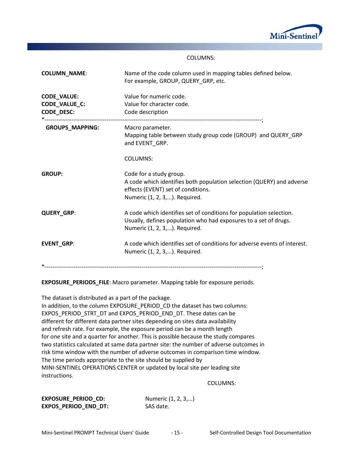

#### COLUMNS:

| <b>COLUMN_NAME:</b>                                      | Name of the code column used in mapping tables defined below.<br>For example, GROUP, QUERY_GRP, etc.                                                                     |
|----------------------------------------------------------|--------------------------------------------------------------------------------------------------------------------------------------------------------------------------|
| <b>CODE_VALUE:</b><br><b>CODE_VALUE_C:</b><br>CODE_DESC: | Value for numeric code.<br>Value for character code.<br>Code description                                                                                                 |
| <b>GROUPS_MAPPING:</b>                                   | Macro parameter.<br>Mapping table between study group code (GROUP) and QUERY_GRP<br>and EVENT_GRP.                                                                       |
|                                                          | <b>COLUMNS:</b>                                                                                                                                                          |
| <b>GROUP:</b>                                            | Code for a study group.<br>A code which identifies both population selection (QUERY) and adverse<br>effects (EVENT) set of conditions.<br>Numeric (1, 2, 3,). Required.  |
| <b>QUERY GRP:</b>                                        | A code which identifies set of conditions for population selection.<br>Usually, defines population who had exposures to a set of drugs.<br>Numeric (1, 2, 3,). Required. |
| <b>EVENT_GRP:</b>                                        | A code which identifies set of conditions for adverse events of interest.<br>Numeric (1, 2, 3,). Required.                                                               |
|                                                          |                                                                                                                                                                          |

**EXPOSURE\_PERIODS\_FILE**: Macro parameter. Mapping table for exposure periods.

The dataset is distributed as a part of the package. In addition, to the column EXPOSURE\_PERIOD\_CD the dataset has two columns: EXPOS\_PERIOD\_STRT\_DT and EXPOS\_PERIOD\_END\_DT. These dates can be different for different data partner sites depending on sites data availability and refresh rate. For example, the exposure period can be a month length for one site and a quarter for another. This is possible because the study compares two statistics calculated at same data partner site: the number of adverse outcomes in risk time window with the number of adverse outcomes in comparison time window. The time periods appropriate to the site should be supplied by MINI-SENTINEL OPERATIONS CENTER or updated by local site per leading site instructions.

COLUMNS:

| EXPOSURE_PERIOD_CD:  |  |
|----------------------|--|
| EXPOS PERIOD END DT: |  |

**Numeric (1, 2, 3,...) SAS** date.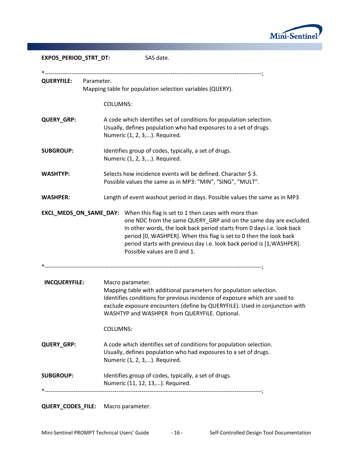

| EXPOS_PERIOD_STRT_DT: | SAS date.                                                                                                                                                                                                                                                                                                                                                                                                         |
|-----------------------|-------------------------------------------------------------------------------------------------------------------------------------------------------------------------------------------------------------------------------------------------------------------------------------------------------------------------------------------------------------------------------------------------------------------|
|                       |                                                                                                                                                                                                                                                                                                                                                                                                                   |
| <b>QUERYFILE:</b>     | Parameter.<br>Mapping table for population selection variables (QUERY).                                                                                                                                                                                                                                                                                                                                           |
|                       | <b>COLUMNS:</b>                                                                                                                                                                                                                                                                                                                                                                                                   |
| <b>QUERY_GRP:</b>     | A code which identifies set of conditions for population selection.<br>Usually, defines population who had exposures to a set of drugs.<br>Numeric (1, 2, 3,). Required.                                                                                                                                                                                                                                          |
| <b>SUBGROUP:</b>      | Identifies group of codes, typically, a set of drugs.<br>Numeric (1, 2, 3,). Required.                                                                                                                                                                                                                                                                                                                            |
| <b>WASHTYP:</b>       | Selects how incidence events will be defined. Character \$3.<br>Possible values the same as in MP3: "MIN", "SING", "MULT".                                                                                                                                                                                                                                                                                        |
| <b>WASHPER:</b>       | Length of event washout period in days. Possible values the same as in MP3                                                                                                                                                                                                                                                                                                                                        |
|                       | <b>EXCL_MEDS_ON_SAME_DAY:</b> When this flag is set to 1 then cases with more than<br>one NDC from the same QUERY_GRP and on the same day are excluded.<br>In other words, the look back period starts from 0 days i.e. look back<br>period [0, WASHPER]. When this flag is set to 0 then the look back<br>period starts with previous day i.e. look back period is [1, WASHPER].<br>Possible values are 0 and 1. |
| <b>INCQUERYFILE:</b>  | Macro parameter.<br>Mapping table with additional parameters for population selection.<br>Identifies conditions for previous incidence of exposure which are used to<br>exclude exposure encounters (define by QUERYFILE). Used in conjunction with<br>WASHTYP and WASHPER from QUERYFILE. Optional.<br><b>COLUMNS:</b>                                                                                           |
|                       |                                                                                                                                                                                                                                                                                                                                                                                                                   |
| <b>QUERY_GRP:</b>     | A code which identifies set of conditions for population selection.<br>Usually, defines population who had exposures to a set of drugs.<br>Numeric (1, 2, 3,). Required.                                                                                                                                                                                                                                          |
| <b>SUBGROUP:</b>      | Identifies group of codes, typically, a set of drugs.<br>Numeric (11, 12, 13,). Required.                                                                                                                                                                                                                                                                                                                         |
|                       |                                                                                                                                                                                                                                                                                                                                                                                                                   |

# **QUERY\_CODES\_FILE:** Macro parameter.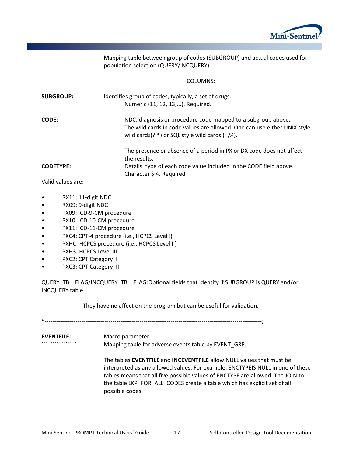

Mapping table between group of codes (SUBGROUP) and actual codes used for population selection (QUERY/INCQUERY).

#### COLUMNS:

| <b>SUBGROUP:</b> | Identifies group of codes, typically, a set of drugs.                    |
|------------------|--------------------------------------------------------------------------|
|                  | Numeric (11, 12, 13,). Required.                                         |
| <b>CODE:</b>     | NDC, diagnosis or procedure code mapped to a subgroup above.             |
|                  | The wild cards in code values are allowed. One can use either UNIX style |
|                  | wild cards $(?,*)$ or SQL style wild cards $(',%)$ .                     |
|                  | The presence or absence of a period in PX or DX code does not affect     |
|                  | the results.                                                             |
| <b>CODETYPE:</b> | Details: type of each code value included in the CODE field above.       |
|                  | Character \$4. Required                                                  |

Valid values are:

- RX11: 11-digit NDC
- RX09: 9-digit NDC
- PX09: ICD-9-CM procedure
- PX10: ICD-10-CM procedure
- PX11: ICD-11-CM procedure
- PXC4: CPT-4 procedure (i.e., HCPCS Level I)
- PXHC: HCPCS procedure (i.e., HCPCS Level II)
- PXH3: HCPCS Level III
- PXC2: CPT Category II
- PXC3: CPT Category III

QUERY\_TBL\_FLAG/INCQUERY\_TBL\_FLAG:Optional fields that identify if SUBGROUP is QUERY and/or INCQUERY table.

They have no affect on the program but can be useful for validation.

\*----------------------------------------------------------------------------------------------------------------;

**EVENTFILE:** Macro parameter. Mapping table for adverse events table by EVENT\_GRP.

> The tables **EVENTFILE** and **INCEVENTFILE** allow NULL values that must be interpreted as any allowed values. For example, ENCTYPEIS NULL in one of these tables means that all five possible values of ENCTYPE are allowed. The JOIN to the table LKP\_FOR\_ALL\_CODES create a table which has explicit set of all possible codes;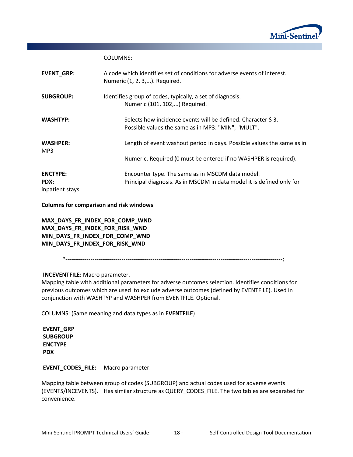

COLUMNS:

| <b>EVENT GRP:</b>                           | A code which identifies set of conditions for adverse events of interest.<br>Numeric (1, 2, 3,). Required.                |
|---------------------------------------------|---------------------------------------------------------------------------------------------------------------------------|
| <b>SUBGROUP:</b>                            | Identifies group of codes, typically, a set of diagnosis.<br>Numeric (101, 102,) Required.                                |
| <b>WASHTYP:</b>                             | Selects how incidence events will be defined. Character \$3.<br>Possible values the same as in MP3: "MIN", "MULT".        |
| <b>WASHPER:</b><br>MP3                      | Length of event washout period in days. Possible values the same as in                                                    |
|                                             | Numeric. Required (0 must be entered if no WASHPER is required).                                                          |
| <b>ENCTYPE:</b><br>PDX:<br>inpatient stays. | Encounter type. The same as in MSCDM data model.<br>Principal diagnosis. As in MSCDM in data model it is defined only for |

**Columns for comparison and risk windows**:

**MAX\_DAYS\_FR\_INDEX\_FOR\_COMP\_WND MAX\_DAYS\_FR\_INDEX\_FOR\_RISK\_WND MIN\_DAYS\_FR\_INDEX\_FOR\_COMP\_WND MIN\_DAYS\_FR\_INDEX\_FOR\_RISK\_WND**

\*----------------------------------------------------------------------------------------------------------------;

#### **INCEVENTFILE:** Macro parameter.

Mapping table with additional parameters for adverse outcomes selection. Identifies conditions for previous outcomes which are used to exclude adverse outcomes (defined by EVENTFILE). Used in conjunction with WASHTYP and WASHPER from EVENTFILE. Optional.

COLUMNS: (Same meaning and data types as in **EVENTFILE**)

**EVENT\_GRP SUBGROUP ENCTYPE PDX**

**EVENT\_CODES\_FILE:** Macro parameter.

Mapping table between group of codes (SUBGROUP) and actual codes used for adverse events (EVENTS/INCEVENTS). Has similar structure as QUERY\_CODES\_FILE. The two tables are separated for convenience.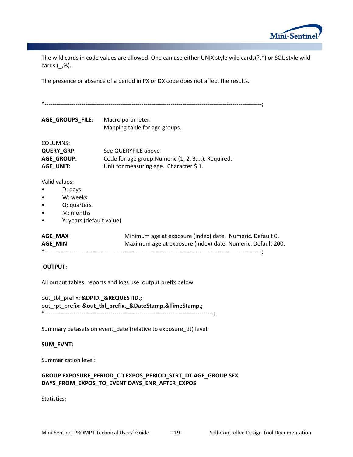

The wild cards in code values are allowed. One can use either UNIX style wild cards(?,\*) or SQL style wild cards  $(\_,\%)$ .

The presence or absence of a period in PX or DX code does not affect the results.

| AGE_GROUPS_FILE:                                                                             | Macro parameter.<br>Mapping table for age groups.                                                                        |  |  |  |  |  |  |
|----------------------------------------------------------------------------------------------|--------------------------------------------------------------------------------------------------------------------------|--|--|--|--|--|--|
| <b>COLUMNS:</b><br><b>QUERY_GRP:</b><br><b>AGE_GROUP:</b><br>AGE_UNIT:                       | See QUERYFILE above<br>Code for age group. Numeric (1, 2, 3,). Required.<br>Unit for measuring age. Character \$1.       |  |  |  |  |  |  |
| Valid values:<br>D: days<br>W: weeks<br>Q: quarters<br>M: months<br>Y: years (default value) |                                                                                                                          |  |  |  |  |  |  |
| AGE_MAX<br>AGE_MIN                                                                           | Minimum age at exposure (index) date. Numeric. Default 0.<br>Maximum age at exposure (index) date. Numeric. Default 200. |  |  |  |  |  |  |
| <b>OUTPUT:</b>                                                                               |                                                                                                                          |  |  |  |  |  |  |
|                                                                                              | All output tables, reports and logs use output prefix below                                                              |  |  |  |  |  |  |
| out tbl prefix: &DPID. &REQUESTID.                                                           | out_rpt_prefix: &out_tbl_prefix._&DateStamp.&TimeStamp.                                                                  |  |  |  |  |  |  |
|                                                                                              | Summary datasets on event_date (relative to exposure_dt) level:                                                          |  |  |  |  |  |  |

#### **SUM\_EVNT:**

Summarization level:

#### **GROUP EXPOSURE\_PERIOD\_CD EXPOS\_PERIOD\_STRT\_DT AGE\_GROUP SEX DAYS\_FROM\_EXPOS\_TO\_EVENT DAYS\_ENR\_AFTER\_EXPOS**

Statistics: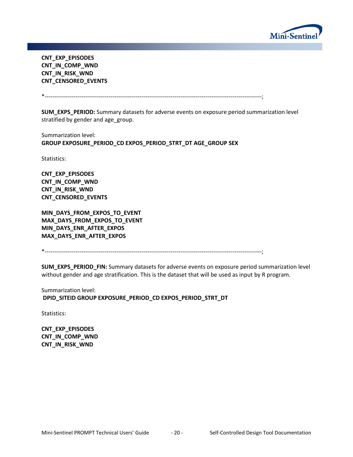

**CNT\_EXP\_EPISODES CNT\_IN\_COMP\_WND CNT\_IN\_RISK\_WND CNT\_CENSORED\_EVENTS** 

\*----------------------------------------------------------------------------------------------------------------;

**SUM\_EXPS\_PERIOD:** Summary datasets for adverse events on exposure period summarization level stratified by gender and age group.

Summarization level: **GROUP EXPOSURE\_PERIOD\_CD EXPOS\_PERIOD\_STRT\_DT AGE\_GROUP SEX** 

Statistics:

**CNT\_EXP\_EPISODES CNT\_IN\_COMP\_WND CNT\_IN\_RISK\_WND CNT\_CENSORED\_EVENTS** 

**MIN\_DAYS\_FROM\_EXPOS\_TO\_EVENT MAX\_DAYS\_FROM\_EXPOS\_TO\_EVENT MIN\_DAYS\_ENR\_AFTER\_EXPOS MAX\_DAYS\_ENR\_AFTER\_EXPOS** 

\*----------------------------------------------------------------------------------------------------------------;

**SUM\_EXPS\_PERIOD\_FIN:** Summary datasets for adverse events on exposure period summarization level without gender and age stratification. This is the dataset that will be used as input by R program.

Summarization level: **DPID\_SITEID GROUP EXPOSURE\_PERIOD\_CD EXPOS\_PERIOD\_STRT\_DT** 

Statistics:

**CNT\_EXP\_EPISODES CNT\_IN\_COMP\_WND CNT\_IN\_RISK\_WND**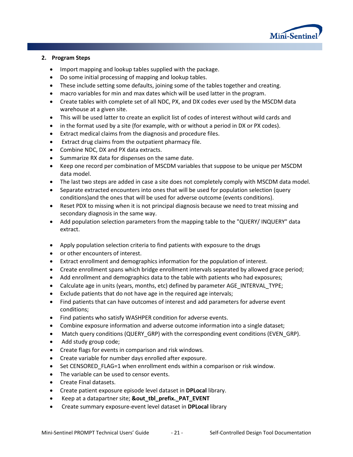

#### **2. Program Steps**

- Import mapping and lookup tables supplied with the package.
- Do some initial processing of mapping and lookup tables.
- These include setting some defaults, joining some of the tables together and creating.
- macro variables for min and max dates which will be used latter in the program.
- Create tables with complete set of all NDC, PX, and DX codes ever used by the MSCDM data warehouse at a given site.
- This will be used latter to create an explicit list of codes of interest without wild cards and
- in the format used by a site (for example, with or without a period in DX or PX codes).
- Extract medical claims from the diagnosis and procedure files.
- Extract drug claims from the outpatient pharmacy file.
- Combine NDC, DX and PX data extracts.
- Summarize RX data for dispenses on the same date.
- Keep one record per combination of MSCDM variables that suppose to be unique per MSCDM data model.
- The last two steps are added in case a site does not completely comply with MSCDM data model.
- Separate extracted encounters into ones that will be used for population selection (query conditions)and the ones that will be used for adverse outcome (events conditions).
- Reset PDX to missing when it is not principal diagnosis because we need to treat missing and secondary diagnosis in the same way.
- Add population selection parameters from the mapping table to the "QUERY/ INQUERY" data extract.
- Apply population selection criteria to find patients with exposure to the drugs
- or other encounters of interest.
- Extract enrollment and demographics information for the population of interest.
- Create enrollment spans which bridge enrollment intervals separated by allowed grace period;
- Add enrollment and demographics data to the table with patients who had exposures;
- Calculate age in units (years, months, etc) defined by parameter AGE\_INTERVAL\_TYPE;
- Exclude patients that do not have age in the required age intervals;
- Find patients that can have outcomes of interest and add parameters for adverse event conditions;
- Find patients who satisfy WASHPER condition for adverse events.
- Combine exposure information and adverse outcome information into a single dataset;
- Match query conditions (QUERY GRP) with the corresponding event conditions (EVEN GRP).
- Add study group code;
- Create flags for events in comparison and risk windows.
- Create variable for number days enrolled after exposure.
- Set CENSORED FLAG=1 when enrollment ends within a comparison or risk window.
- The variable can be used to censor events.
- Create Final datasets.
- Create patient exposure episode level dataset in **DPLocal** library.
- Keep at a datapartner site; **&out\_tbl\_prefix.\_PAT\_EVENT**
- Create summary exposure-event level dataset in **DPLocal** library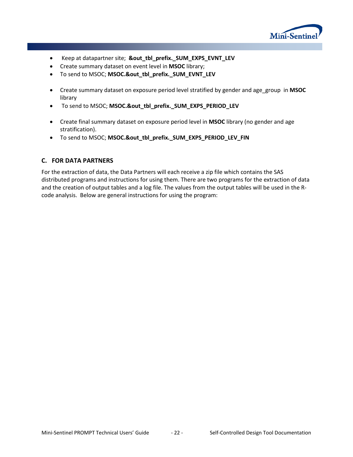

- Keep at datapartner site; **&out\_tbl\_prefix.\_SUM\_EXPS\_EVNT\_LEV**
- Create summary dataset on event level in **MSOC** library;
- To send to MSOC; **MSOC.&out\_tbl\_prefix.\_SUM\_EVNT\_LEV**
- Create summary dataset on exposure period level stratified by gender and age\_group in **MSOC** library
- To send to MSOC; **MSOC.&out\_tbl\_prefix.\_SUM\_EXPS\_PERIOD\_LEV**
- Create final summary dataset on exposure period level in **MSOC** library (no gender and age stratification).
- To send to MSOC; **MSOC.&out\_tbl\_prefix.\_SUM\_EXPS\_PERIOD\_LEV\_FIN**

### **C. FOR DATA PARTNERS**

For the extraction of data, the Data Partners will each receive a zip file which contains the SAS distributed programs and instructions for using them. There are two programs for the extraction of data and the creation of output tables and a log file. The values from the output tables will be used in the Rcode analysis. Below are general instructions for using the program: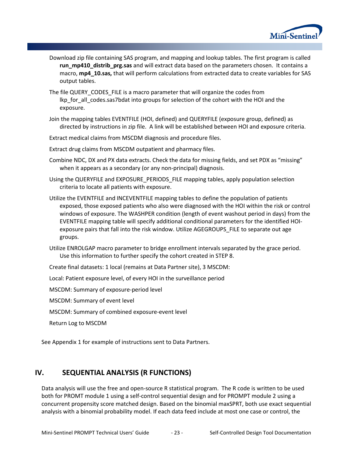

- Download zip file containing SAS program, and mapping and lookup tables. The first program is called **run\_mp410\_distrib\_prg.sas** and will extract data based on the parameters chosen. It contains a macro, **mp4\_10.sas,** that will perform calculations from extracted data to create variables for SAS output tables.
- The file QUERY\_CODES\_FILE is a macro parameter that will organize the codes from lkp for all codes.sas7bdat into groups for selection of the cohort with the HOI and the exposure.
- Join the mapping tables EVENTFILE (HOI, defined) and QUERYFILE (exposure group, defined) as directed by instructions in zip file. A link will be established between HOI and exposure criteria.
- Extract medical claims from MSCDM diagnosis and procedure files.
- Extract drug claims from MSCDM outpatient and pharmacy files.
- Combine NDC, DX and PX data extracts. Check the data for missing fields, and set PDX as "missing" when it appears as a secondary (or any non-principal) diagnosis.
- Using the QUERYFILE and EXPOSURE\_PERIODS\_FILE mapping tables, apply population selection criteria to locate all patients with exposure.
- Utilize the EVENTFILE and INCEVENTFILE mapping tables to define the population of patients exposed, those exposed patients who also were diagnosed with the HOI within the risk or control windows of exposure. The WASHPER condition (length of event washout period in days) from the EVENTFILE mapping table will specify additional conditional parameters for the identified HOIexposure pairs that fall into the risk window. Utilize AGEGROUPS\_FILE to separate out age groups.
- Utilize ENROLGAP macro parameter to bridge enrollment intervals separated by the grace period. Use this information to further specify the cohort created in STEP 8.

Create final datasets: 1 local (remains at Data Partner site), 3 MSCDM:

Local: Patient exposure level, of every HOI in the surveillance period

MSCDM: Summary of exposure-period level

MSCDM: Summary of event level

MSCDM: Summary of combined exposure-event level

Return Log to MSCDM

See Appendix 1 for example of instructions sent to Data Partners.

# **IV. SEQUENTIAL ANALYSIS (R FUNCTIONS)**

Data analysis will use the free and open-source R statistical program. The R code is written to be used both for PROMT module 1 using a self-control sequential design and for PROMPT module 2 using a concurrent propensity score matched design. Based on the binomial maxSPRT, both use exact sequential analysis with a binomial probability model. If each data feed include at most one case or control, the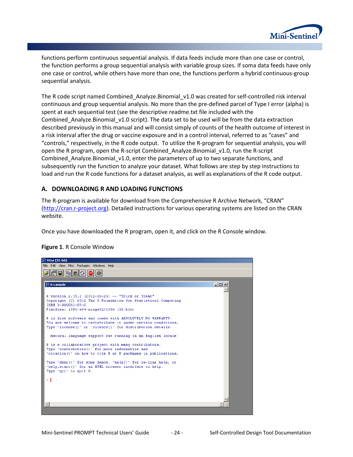

functions perform continuous sequential analysis. If data feeds include more than one case or control, the function performs a group sequential analysis with variable group sizes. If soma data feeds have only one case or control, while others have more than one, the functions perform a hybrid continuous-group sequential analysis.

The R code script named Combined Analyze.Binomial v1.0 was created for self-controlled risk interval continuous and group sequential analysis. No more than the pre-defined parcel of Type I error (alpha) is spent at each sequential test (see the descriptive readme.txt file included with the Combined Analyze.Binomial v1.0 script). The data set to be used will be from the data extraction described previously in this manual and will consist simply of counts of the health outcome of interest in a risk interval after the drug or vaccine exposure and in a control interval, referred to as "cases" and "controls," respectively, in the R code output. To utilize the R-program for sequential analysis, you will open the R program, open the R-script Combined\_Analyze.Binomial\_v1.0, run the R-script Combined\_Analyze.Binomial\_v1.0, enter the parameters of up to two separate functions, and subsequently run the function to analyze your dataset. What follows are step by step instructions to load and run the R code functions for a dataset analysis, as well as explanations of the R code output.

### **A. DOWNLOADING R AND LOADING FUNCTIONS**

The R-program is available for download from the Comprehensive R Archive Network, "CRAN" [\(http://cran.r-project.org\)](http://cran.r-project.org/). Detailed instructions for various operating systems are listed on the CRAN website.

Once you have downloaded the R program, open it, and click on the R Console window.

#### **Figure 1**. R Console Window

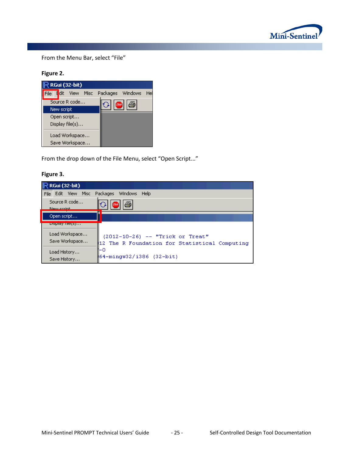

From the Menu Bar, select "File"

# **Figure 2.**

|                |            | <b>RGui (32-bit)</b>              |  |                  |                   |    |
|----------------|------------|-----------------------------------|--|------------------|-------------------|----|
|                |            | File E <mark>dit View Misc</mark> |  | Packages Windows |                   | He |
|                |            | Source R code                     |  |                  | STOP <sup>1</sup> |    |
|                | New script |                                   |  |                  |                   |    |
| Open script    |            |                                   |  |                  |                   |    |
|                |            | Display file(s)                   |  |                  |                   |    |
| Load Workspace |            |                                   |  |                  |                   |    |
|                |            | Save Workspace                    |  |                  |                   |    |

From the drop down of the File Menu, select "Open Script..."

# **Figure 3.**

| <b>RGui (32-bit)</b>                                       |                                                                                         |
|------------------------------------------------------------|-----------------------------------------------------------------------------------------|
| Edit View Misc<br>File                                     | Packages<br>Windows<br>Help                                                             |
| Source R code<br><b>Mourreagh</b>                          | §<br><b>STOP</b>                                                                        |
| Open script                                                |                                                                                         |
| <u>nehiga ulafatni</u><br>Load Workspace<br>Save Workspace | $(2012 - 10 - 26)$ -- "Trick or Treat"<br>12 The R Foundation for Statistical Computing |
| Load History<br>Save History                               | HΟ<br>164-mingw32/i386 (32-bit)                                                         |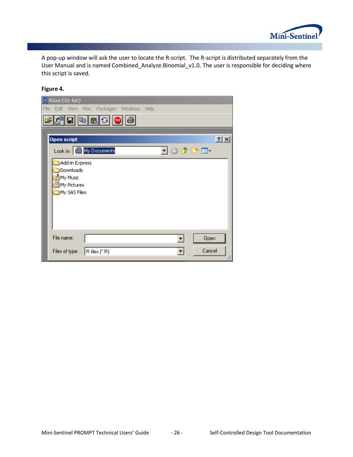

A pop-up window will ask the user to locate the R-script. The R-script is distributed separately from the User Manual and is named Combined\_Analyze.Binomial\_v1.0. The user is responsible for deciding where this script is saved.

### **Figure 4.**

| R RGui (32-bit)                                                        |    |
|------------------------------------------------------------------------|----|
| Edit View Misc Packages Windows<br>File<br>Help                        |    |
| E<br><b>STOP</b><br>ы                                                  |    |
|                                                                        |    |
| Open script                                                            | 2x |
| Look in: <b>B</b> My Documents<br>▔▏⊙ <i> ゆ ⊵</i> ⊞                    |    |
| Add-in Express<br>Downloads<br>My Music<br>My Pictures<br>My SAS Files |    |
| File name:<br>Open                                                     |    |
| Cancel<br>Files of type:<br>$ R$ files $(*R)$                          |    |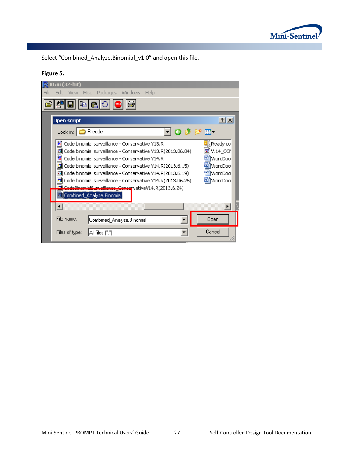

Select "Combined\_Analyze.Binomial\_v1.0" and open this file.

# **Figure 5.**

|      | R RGui (32-bit)          |                                                               |         |      |  |                 |              |
|------|--------------------------|---------------------------------------------------------------|---------|------|--|-----------------|--------------|
| File | Edit<br>– View           | Packages<br>Misc.                                             | Windows | Help |  |                 |              |
|      |                          | \$ \$                                                         |         |      |  |                 |              |
|      | <b>Open script</b>       |                                                               |         |      |  |                 | $?$ $\times$ |
|      | Look in: <b>C</b> R code |                                                               |         |      |  | 「〇ゆび皿           |              |
|      |                          | Code binomial surveillance - Conservative V13.R               |         |      |  | Ready co        |              |
|      |                          | M Code binomial surveillance - Conservative V13.R(2013.06.04) |         |      |  |                 |              |
|      |                          | Code binomial surveillance - Conservative V14.R               |         |      |  | ᄤ॒]WordDoci     |              |
|      |                          | M Code binomial surveillance - Conservative V14.R(2013.6.15)  |         |      |  | <b>WordDoct</b> |              |
|      |                          | 國 Code binomial surveillance - Conservative V14.R(2013.6.19)  |         |      |  | all WordDock    |              |
|      |                          | 國 Code binomial surveillance - Conservative V14.R(2013.06.25) |         |      |  | ≝] WordDoci     |              |
|      |                          | CodoBinomialSurvoillanco_ConcervativeV14.R(2013.6.24)         |         |      |  |                 |              |
|      |                          | i⊠ combined_Analyze.Binomial                                  |         |      |  |                 |              |
|      |                          |                                                               |         |      |  |                 |              |
|      | File name:               | Combined_Analyze.Binomial                                     |         |      |  | Open            |              |
|      | Files of type:           | All files (*.*)                                               |         |      |  | Cancel          |              |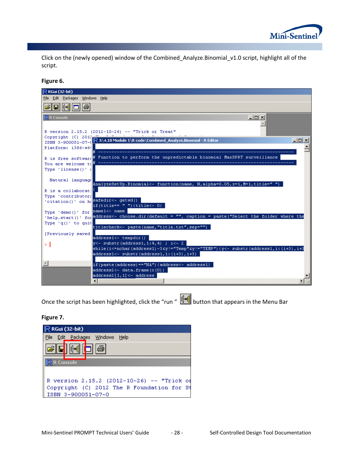

Click on the (newly opened) window of the Combined\_Analyze.Binomial\_v1.0 script, highlight all of the script.

#### **Figure 6.**

| $\mathbb R$ RGui (32-bit)                                                                                                          |        |
|------------------------------------------------------------------------------------------------------------------------------------|--------|
| File Edit Packages Windows Help                                                                                                    |        |
| It⊶t                                                                                                                               |        |
| R R Console<br>$\Box$ ol x                                                                                                         |        |
|                                                                                                                                    |        |
| R version 2.15.2 (2012-10-26) -- "Trick or Treat"                                                                                  |        |
| Copyright (C) 2017                                                                                                                 |        |
| ISBN 3-900051-07-( R J:\4.10 Module 1\R code\Combined_Analyze.Binomial - R Editor                                                  | $\Box$ |
| Platform: i386-w64                                                                                                                 |        |
|                                                                                                                                    |        |
| R is free softwar(# Function to perform the unpredictable binomial MaxSPRT surveillance                                            |        |
| You are welcome td                                                                                                                 |        |
| Type 'license()' (                                                                                                                 |        |
|                                                                                                                                    |        |
| Natural language<br>AnalyzeSetUp.Binomial<- function(name, N,alpha=0.05, z=1, N=1, title=" ")                                      |        |
| R is a collaborat!                                                                                                                 |        |
| Type 'contributor:                                                                                                                 |        |
| 'citation()' on hesafedir<- getwd()                                                                                                |        |
| $if (title == " "   (title <= 0)$                                                                                                  |        |
| Type 'demo()' for name1<- name                                                                                                     |        |
| 'help.start()' for address<- choose.dir(default = "", caption = paste("Select the folder where the                                 |        |
| Type $(q()$ to quit<br>titlecheck<- paste(name,"title.txt",sep="")                                                                 |        |
|                                                                                                                                    |        |
| [Previously saved]<br>address1<- tempdir()                                                                                         |        |
| $\forall$ <- substr(address1,1:4,4) ; i<- 2                                                                                        |        |
| $which is (i \leq n \text{char} (address 1) - 3 \text{ky}) = "Temp" \text{gy} = "TEMP") (y \leq - $ substr(address1, i: (i+3), i+3 |        |
| $address1 \leftarrow substr(address1,1;(i+3),i+3)$                                                                                 |        |
|                                                                                                                                    |        |
| $\left\langle 1\right\rangle$<br>$if (paste (address) == "NA") (address < - address 1)$                                            |        |
| address2<- data.frame(c(0))                                                                                                        |        |
| $address2[1,1]<-address$                                                                                                           |        |
|                                                                                                                                    |        |

Once the script has been highlighted, click the "run "  $\|\cdot\|$  button that appears in the Menu Bar

#### **Figure 7.**

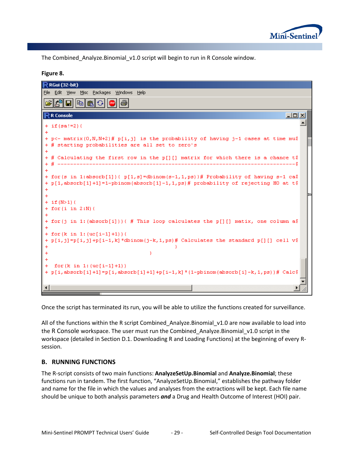

The Combined\_Analyze.Binomial\_v1.0 script will begin to run in R Console window.

#### **Figure 8.**

| $\mathbb R$ RGui (32-bit)                                                                                                                                 |            |  |
|-----------------------------------------------------------------------------------------------------------------------------------------------------------|------------|--|
| File Edit View Misc Packages Windows Help                                                                                                                 |            |  |
| 噜                                                                                                                                                         |            |  |
| $\mathbb R$ R Console                                                                                                                                     | $\Box$ olx |  |
| $+$ if (sa!=2) {                                                                                                                                          |            |  |
|                                                                                                                                                           |            |  |
| + p<- matrix $(0, N, N+2)$ # p[i, j] is the probability of having j-1 cases at time mu\$<br>+ # starting probabilities are all set to zero's<br>$\ddot{}$ |            |  |
| + # Calculating the first row in the p[][] matrix for which there is a chance t\$                                                                         |            |  |
|                                                                                                                                                           | ------S    |  |
| + for (s in 1:absorb[1]) ( $p[1,s]$ =dbinom(s-1,1,ps) )# Probability of having s-1 ca?                                                                    |            |  |
| + p[1,absorb[1]+1]=1-pbinom(absorb[1]-1,1,ps)# probability of rejecting HO at t\$                                                                         |            |  |
|                                                                                                                                                           |            |  |
| $+$ if (N>1) {                                                                                                                                            |            |  |
| $+$ for $(i$ in $2:N$ $($                                                                                                                                 |            |  |
|                                                                                                                                                           |            |  |
| + for (j in 1: (absorb[i])) ( # This loop calculates the p[][] matix, one column a\$                                                                      |            |  |
| + for $(k \in 1: (uc[i-1]+1))$ {                                                                                                                          |            |  |
| + $p[i,j]=p[i,j]+p[i-1,k]$ *dbinom(j-k, 1, ps)# Calculates the standard p[][] cell v\$                                                                    |            |  |
|                                                                                                                                                           |            |  |
|                                                                                                                                                           |            |  |
|                                                                                                                                                           |            |  |
| for $(k \in 1: (uc[i-1]+1))$<br>$+$<br>+ p[i,absorb[i]+1]=p[i,absorb[i]+1]+p[i-1,k]*(1-pbinom(absorb[i]-k,1,ps))# Calc\$                                  |            |  |
|                                                                                                                                                           |            |  |
|                                                                                                                                                           |            |  |
|                                                                                                                                                           |            |  |

Once the script has terminated its run, you will be able to utilize the functions created for surveillance.

All of the functions within the R script Combined\_Analyze.Binomial\_v1.0 are now available to load into the R Console workspace. The user must run the Combined\_Analyze.Binomial\_v1.0 script in the workspace (detailed in Section D.1. Downloading R and Loading Functions) at the beginning of every Rsession.

### **B. RUNNING FUNCTIONS**

The R-script consists of two main functions: **AnalyzeSetUp.Binomial** and **Analyze.Binomial**; these functions run in tandem. The first function, "AnalyzeSetUp.Binomial," establishes the pathway folder and name for the file in which the values and analyses from the extractions will be kept. Each file name should be unique to both analysis parameters *and* a Drug and Health Outcome of Interest (HOI) pair.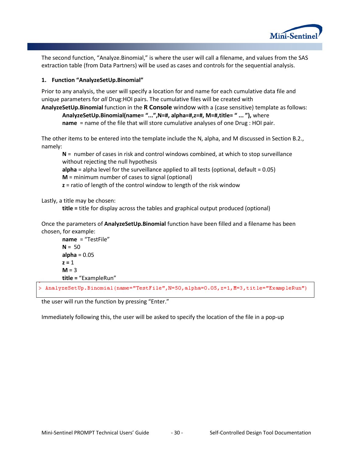

The second function, "Analyze.Binomial," is where the user will call a filename, and values from the SAS extraction table (from Data Partners) will be used as cases and controls for the sequential analysis.

#### **1. Function "AnalyzeSetUp.Binomial"**

Prior to any analysis, the user will specify a location for and name for each cumulative data file and unique parameters for *all* Drug:HOI pairs. The cumulative files will be created with

**AnalyzeSetUp.Binomial** function in the **R Console** window with a (case sensitive) template as follows: **AnalyzeSetUp.Binomial(name= "...",N=#, alpha=#,z=#, M=#,title= " ... "),** where **name** = name of the file that will store cumulative analyses of one Drug : HOI pair.

The other items to be entered into the template include the N, alpha, and M discussed in Section B.2., namely:

**N** = number of cases in risk and control windows combined, at which to stop surveillance without rejecting the null hypothesis

**alpha** = alpha level for the surveillance applied to all tests (optional, default = 0.05)

**M** = minimum number of cases to signal (optional)

**z** = ratio of length of the control window to length of the risk window

Lastly, a title may be chosen:

**title =** title for display across the tables and graphical output produced (optional)

Once the parameters of **AnalyzeSetUp.Binomial** function have been filled and a filename has been chosen, for example:

**name** = "TestFile"  $N = 50$  $alpha = 0.05$  $z = 1$  $M = 3$ **title =** "ExampleRun"

/ AnalyzeSetUp.Binomial(name="TestFile",N=50,alpha=0.05,z=1,M=3,title="ExampleRun")</

the user will run the function by pressing "Enter."

Immediately following this, the user will be asked to specify the location of the file in a pop-up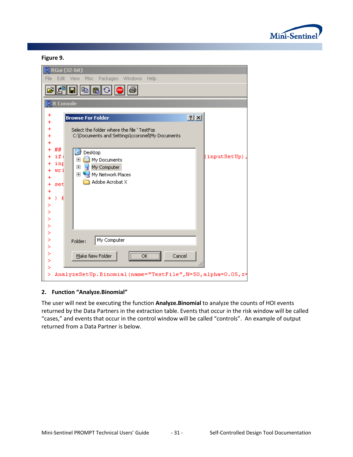

#### **Figure 9.**

| R RGui (32-bit)                                                              |                                                                                                                                                        |
|------------------------------------------------------------------------------|--------------------------------------------------------------------------------------------------------------------------------------------------------|
| File<br>Edit                                                                 | Windows<br>Packages<br>Help<br><b>View</b><br>Misc                                                                                                     |
|                                                                              |                                                                                                                                                        |
| <mark>न्</mark> र R Console                                                  |                                                                                                                                                        |
| +                                                                            | ? X <br><b>Browse For Folder</b>                                                                                                                       |
| $\ddot{}$                                                                    | Select the folder where the file 'TestFœ<br>C:\Documents and Settings\ccoronel\My Documents                                                            |
| ##<br>ifi<br>inp<br>wri<br>set<br>$\ddot{}$<br>3<br>£<br>$\ddot{}$<br>≻<br>≻ | Ø<br>Desktop<br>(inputSetUp),<br>My Documents<br>$\overline{\mathbf{H}}$<br>My Computer<br>$\overline{+}$<br>My Network Places<br>曱<br>Adobe Acrobat X |
| ≻<br>×<br>≻                                                                  |                                                                                                                                                        |
| ≻<br>⋗                                                                       | My Computer<br>Folder:                                                                                                                                 |
| ×<br>×<br>>                                                                  | $\overline{OK}$<br>Make New Folder<br>Cancel                                                                                                           |
| ≻                                                                            | AnalyzeSetUp.Binomial(name="TestFile",N=50,alpha=0.05,z=                                                                                               |

#### **2. Function "Analyze.Binomial"**

The user will next be executing the function **Analyze.Binomial** to analyze the counts of HOI events returned by the Data Partners in the extraction table. Events that occur in the risk window will be called "cases," and events that occur in the control window will be called "controls". An example of output returned from a Data Partner is below.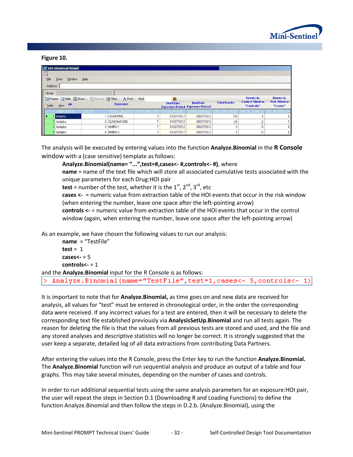

#### **Figure 10.**

l>.

| 5 SAS Universal Viewer<br>E<br>File<br>Help<br>Window<br>Tools        |       |                 |                   |                   |                                                           |                     |                                                         |                                                   |
|-----------------------------------------------------------------------|-------|-----------------|-------------------|-------------------|-----------------------------------------------------------|---------------------|---------------------------------------------------------|---------------------------------------------------|
| Address                                                               |       |                 |                   |                   |                                                           |                     |                                                         |                                                   |
| Library                                                               |       |                 |                   |                   |                                                           |                     |                                                         |                                                   |
| Freeze Hilde Bishow Format Filter A Font Find<br>$View$ $DP$<br>Table |       | <b>Exposure</b> |                   | <b>Start Date</b> | <b>End Date</b><br><b>Exposure Period Exposure Period</b> | <b>Total Events</b> | <b>Events in</b><br><b>Control Window</b><br>"Controls" | <b>Events in</b><br><b>Risk Window</b><br>"Cases" |
|                                                                       | GROUP | GBOL            | <b>POSURE PER</b> | IS PERIDI         | <b>EXPOS PERIO</b>                                        |                     |                                                         |                                                   |
| hmhphc                                                                |       | LISINOPRIL      |                   | 01SEP2012         | 30SEP2012                                                 | 216                 |                                                         | 51                                                |
| 2 hmhphc                                                              |       | 2 CLINDAMYCIN   |                   | 01SEP2012         | 30SEP2012                                                 | 21                  |                                                         |                                                   |
| 3 hmhphc                                                              |       | 3 MMRV-1        |                   | 01SEP2012         | 30SEP2012                                                 |                     | 0                                                       | 0 <sup>1</sup>                                    |
| 4 hmhphc                                                              |       | 4 MMRV-2        |                   | 01SEP2012         | 30SEP2012                                                 |                     |                                                         | 0 <sup>1</sup>                                    |

The analysis will be executed by entering values into the function **Analyze.Binomial** in the **R Console**  window with a (case sensitive) template as follows:

**Analyze.Binomial(name= "...",test=#,cases<- #,controls<- #)**, where

**name** = name of the text file which will store all associated cumulative tests associated with the unique parameters for each Drug:HOI pair

**test** = number of the test, whether it is the  $1^{st}$ ,  $2^{nd}$ ,  $3^{rd}$ , etc

**cases <-** = numeric value from extraction table of the HOI events that occur in the risk window (when entering the number, leave one space after the left-pointing arrow)

**controls <-** = numeric value from extraction table of the HOI events that occur in the control window (again, when entering the number, leave one space after the left-pointing arrow)

As an example, we have chosen the following values to run our analysis:

**name** = "TestFile"  $test = 1$ **cases<-** = 5 **controls<-** = 1 and the **Analyze.Binomial** input for the R Console is as follows: Analyze.Binomial(name="TestFile", test=1, cases<- 5, controls<- 1)

It is important to note that for **Analyze.Binomial,** as time goes on and new data are received for analysis, all values for "test" must be entered in chronological order, in the order the corresponding data were received. If any incorrect values for a test are entered, then it will be necessary to delete the corresponding text file established previously via **AnalysisSetUp.Binomial** and run all tests again. The reason for deleting the file is that the values from all previous tests are stored and used, and the file and any stored analyses and descriptive statistics will no longer be correct. It is strongly suggested that the user keep a separate, detailed log of all data extractions from contributing Data Partners.

After entering the values into the R Console, press the Enter key to run the function **Analyze.Binomial.**  The **Analyze.Binomial** function will run sequential analysis and produce an output of a table and four graphs. This may take several minutes, depending on the number of cases and controls.

In order to run additional sequential tests using the same analysis parameters for an exposure:HOI pair, the user will repeat the steps in Section D.1 (Downloading R and Loading Functions) to define the function Analyze.Binomial and then follow the steps in D.2.b. (Analyze.Binomial), using the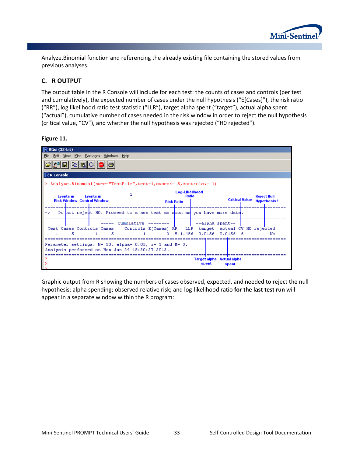

Analyze.Binomial function and referencing the already existing file containing the stored values from previous analyses.

# **C. R OUTPUT**

The output table in the R Console will include for each test: the counts of cases and controls (per test and cumulatively), the expected number of cases under the null hypothesis ("E[Cases]"), the risk ratio ("RR"), log likelihood ratio test statistic ("LLR"), target alpha spent ("target"), actual alpha spent ("actual"), cumulative number of cases needed in the risk window in order to reject the null hypothesis (critical value, "CV"), and whether the null hypothesis was rejected ("H0 rejected").

**Figure 11.**



Graphic output from R showing the numbers of cases observed, expected, and needed to reject the null hypothesis; alpha spending; observed relative risk; and log-likelihood ratio **for the last test run** will appear in a separate window within the R program: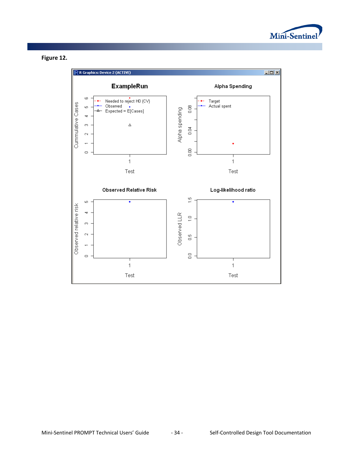



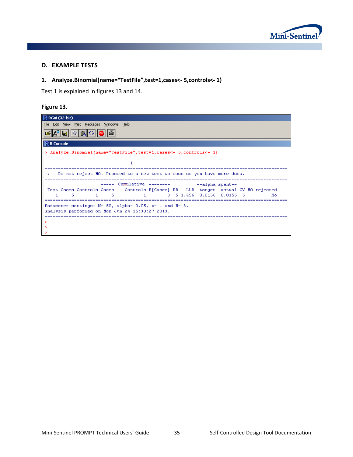

#### **D. EXAMPLE TESTS**

# **1. Analyze.Binomial(name="TestFile",test=1,cases<- 5,controls<- 1)**

Test 1 is explained in figures 13 and 14.

#### **Figure 13.**

| R RGui (32-bit)                                                                                                      |
|----------------------------------------------------------------------------------------------------------------------|
| File Edit View Misc Packages Windows Help                                                                            |
| 6 E E B                                                                                                              |
| $\mathsf{I}\mathsf{R}$ R Console                                                                                     |
| $ >$ Analyze.Binomial(name="TestFile",test=1,cases<- 5,controls<- 1)                                                 |
|                                                                                                                      |
| => Do not reject HO. Proceed to a new test as soon as you have more data.                                            |
| ----- Cumulative -------- - -- -- -- alpha spent--                                                                   |
| Test Cases Controls Cases (Controls E[Cases] RR (LLR target actual CV HO rejected                                    |
| 1 3 5 1.456 0.0156 0.0156 6<br>- 5<br>No.                                                                            |
| Parameter settings: $N = 50$ , alpha= 0.05, $z = 1$ and $M = 3$ .<br>Analysis performed on Mon Jun 24 15:30:27 2013. |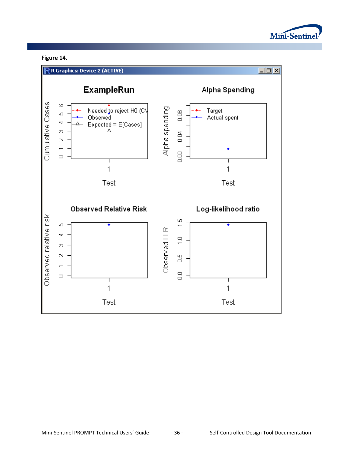

# **Figure 14.**

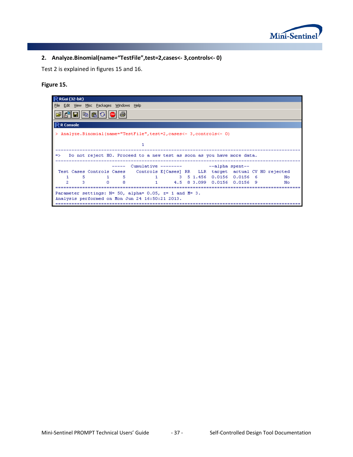

# **2. Analyze.Binomial(name="TestFile",test=2,cases<- 3,controls<- 0)**

Test 2 is explained in figures 15 and 16.

# **Figure 15.**

| $\mathsf R$ RGui (32-bit)                                                                                            |
|----------------------------------------------------------------------------------------------------------------------|
| File Edit View Misc Packages Windows Help                                                                            |
| G 6 8 9 8 9 9                                                                                                        |
| $\mathsf{I}\mathsf{R}$ R Console                                                                                     |
| > Analyze.Binomial(name="TestFile", test=2, cases<- 3, controls<- 0)                                                 |
|                                                                                                                      |
| Do not reject HO. Proceed to a new test as soon as you have more data.<br>$\Rightarrow$                              |
| $---$ Cumulative $-- -- ---$ alpha spent-                                                                            |
| Test Cases Controls Cases Controls E[Cases] RR LLR target actual CV HO rejected                                      |
| 5 1 5 1 3 5 1.456 0.0156 0.0156 6<br>No.<br>1.                                                                       |
| $0 \times 8$<br>1 4.5 8 3.099 0.0156 0.0156 9<br>$\mathfrak{D}$<br>з.<br>Nο                                          |
|                                                                                                                      |
| Parameter settings: $N = 50$ , alpha= 0.05, $z = 1$ and $M = 3$ .<br>Analysis performed on Mon Jun 24 16:50:21 2013. |
|                                                                                                                      |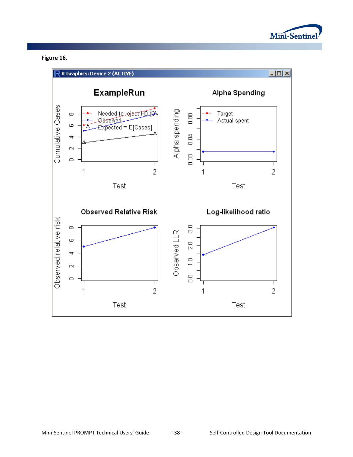

# **Figure 16.**

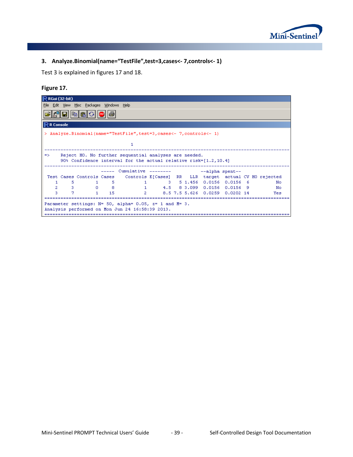

# **3. Analyze.Binomial(name="TestFile",test=3,cases<- 7,controls<- 1)**

Test 3 is explained in figures 17 and 18.

# **Figure 17.**

| R RGui (32-bit)                                                                 |    |  |  |  |  |  |  |  |  |
|---------------------------------------------------------------------------------|----|--|--|--|--|--|--|--|--|
| File Edit View Misc Packages Windows Help                                       |    |  |  |  |  |  |  |  |  |
|                                                                                 |    |  |  |  |  |  |  |  |  |
| $\mathsf{IR}$ R Console $\mathsf{R}$                                            |    |  |  |  |  |  |  |  |  |
| > Analyze.Binomial(name="TestFile", test=3, cases<- 7, controls<- 1)            |    |  |  |  |  |  |  |  |  |
|                                                                                 |    |  |  |  |  |  |  |  |  |
| 1                                                                               |    |  |  |  |  |  |  |  |  |
| Reject HO. No further sequential analyses are needed.<br>$\Rightarrow$          |    |  |  |  |  |  |  |  |  |
| 90% Confidence interval for the actual relative risk=[1.2,10.4]                 |    |  |  |  |  |  |  |  |  |
|                                                                                 |    |  |  |  |  |  |  |  |  |
| ----- Cumulative --------<br>--alpha spent--                                    |    |  |  |  |  |  |  |  |  |
| Test Cases Controls Cases Controls E[Cases] RR LLR target actual CV HO rejected |    |  |  |  |  |  |  |  |  |
| 3 5 1.456 0.0156 0.0156 6<br>5.<br>1.<br>No<br>-5.                              |    |  |  |  |  |  |  |  |  |
| 2<br>- 31<br>$0 \quad 8$<br>1 4.5 8 3.099 0.0156 0.0156 9                       |    |  |  |  |  |  |  |  |  |
|                                                                                 | No |  |  |  |  |  |  |  |  |
| 2 8.5 7.5 5.626 0.0259 0.0202 14<br>з<br>$1 -$<br>15<br>Yes                     |    |  |  |  |  |  |  |  |  |
|                                                                                 |    |  |  |  |  |  |  |  |  |
| Parameter settings: $N = 50$ , alpha= 0.05, $z = 1$ and $M = 3$ .               |    |  |  |  |  |  |  |  |  |
| Analysis performed on Mon Jun 24 16:58:39 2013.                                 |    |  |  |  |  |  |  |  |  |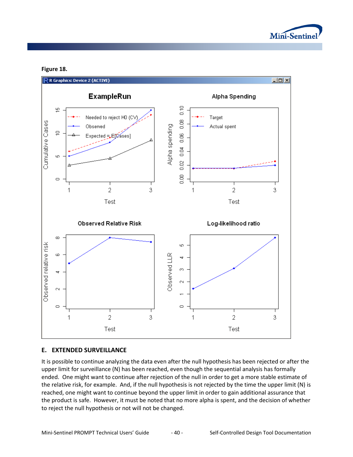

#### **Figure 18.**



#### **E. EXTENDED SURVEILLANCE**

It is possible to continue analyzing the data even after the null hypothesis has been rejected or after the upper limit for surveillance (N) has been reached, even though the sequential analysis has formally ended. One might want to continue after rejection of the null in order to get a more stable estimate of the relative risk, for example. And, if the null hypothesis is not rejected by the time the upper limit (N) is reached, one might want to continue beyond the upper limit in order to gain additional assurance that the product is safe. However, it must be noted that no more alpha is spent, and the decision of whether to reject the null hypothesis or not will not be changed.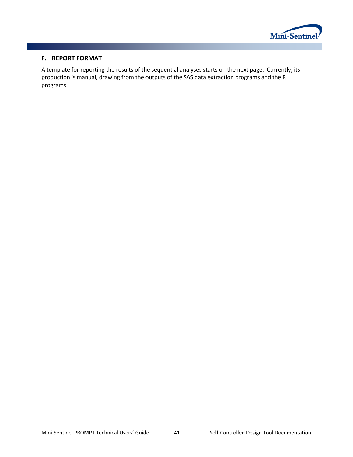

### **F. REPORT FORMAT**

A template for reporting the results of the sequential analyses starts on the next page. Currently, its production is manual, drawing from the outputs of the SAS data extraction programs and the R programs.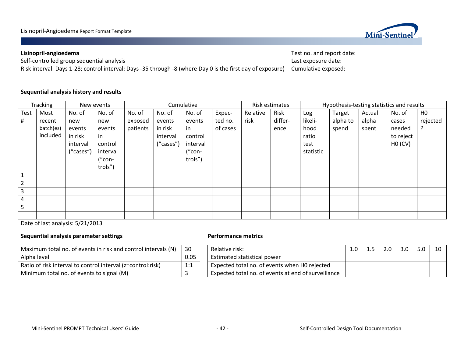

# **Lisinopril-angioedema** Test no. and report date:

Self-controlled group sequential analysis **Self-controlled group sequential analysis** Last exposure date:

# Risk interval: Days 1-28; control interval: Days -35 through -8 (where Day 0 is the first day of exposure) Cumulative exposed:

#### **Sequential analysis history and results**

| <b>Tracking</b><br>New events |           |           |          | Cumulative |           |          |          | Risk estimates |         | Hypothesis-testing statistics and results |          |        |           |                |
|-------------------------------|-----------|-----------|----------|------------|-----------|----------|----------|----------------|---------|-------------------------------------------|----------|--------|-----------|----------------|
| Test                          | Most      | No. of    | No. of   | No. of     | No. of    | No. of   | Expec-   | Relative       | Risk    | Log                                       | Target   | Actual | No. of    | H <sub>0</sub> |
| #                             | recent    | new       | new      | exposed    | events    | events   | ted no.  | risk           | differ- | likeli-                                   | alpha to | alpha  | cases     | rejected       |
|                               | batch(es) | events    | events   | patients   | in risk   | in       | of cases |                | ence    | hood                                      | spend    | spent  | needed    |                |
|                               | included  | in risk   | in       |            | interval  | control  |          |                |         | ratio                                     |          |        | to reject |                |
|                               |           | interval  | control  |            | ("cases") | interval |          |                |         | test                                      |          |        | HO(CV)    |                |
|                               |           | ("cases") | interval |            |           | ("con-   |          |                |         | statistic                                 |          |        |           |                |
|                               |           |           | $("con-$ |            |           | trols")  |          |                |         |                                           |          |        |           |                |
|                               |           |           | trols")  |            |           |          |          |                |         |                                           |          |        |           |                |
| $\mathbf{1}$                  |           |           |          |            |           |          |          |                |         |                                           |          |        |           |                |
| $\overline{2}$                |           |           |          |            |           |          |          |                |         |                                           |          |        |           |                |
| $\overline{3}$                |           |           |          |            |           |          |          |                |         |                                           |          |        |           |                |
| $\overline{4}$                |           |           |          |            |           |          |          |                |         |                                           |          |        |           |                |
| 5                             |           |           |          |            |           |          |          |                |         |                                           |          |        |           |                |
|                               |           |           |          |            |           |          |          |                |         |                                           |          |        |           |                |

Date of last analysis: 5/21/2013

#### **Sequential analysis parameter settings Performance metrics**

| Maximum total no. of events in risk and control intervals (N) | 30   | Relative risk:                                      |
|---------------------------------------------------------------|------|-----------------------------------------------------|
| Alpha level                                                   | 0.05 | Estimated statistical power                         |
| Ratio of risk interval to control interval (z=control:risk)   | 1:1  | Expected total no. of events when H0 rejected       |
| Minimum total no. of events to signal (M)                     |      | Expected total no. of events at end of surveillance |

| Maximum total no. of events in risk and control intervals (N) | 30   | Relative risk:                                      |  | 3.0 <sub>2</sub> | 10 |
|---------------------------------------------------------------|------|-----------------------------------------------------|--|------------------|----|
| Alpha level                                                   | 0.05 | Estimated statistical power                         |  |                  |    |
| Ratio of risk interval to control interval (z=control:risk)   | 1:1  | Expected total no. of events when HO rejected       |  |                  |    |
| Minimum total no. of events to signal (M)                     |      | Expected total no. of events at end of surveillance |  |                  |    |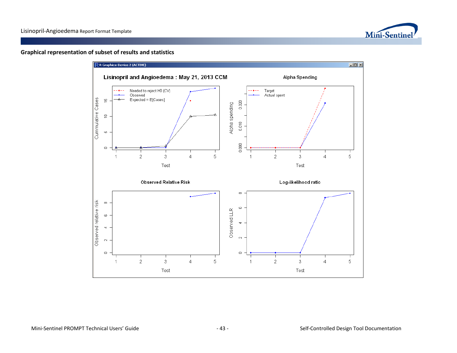

#### **Graphical representation of subset of results and statistics**

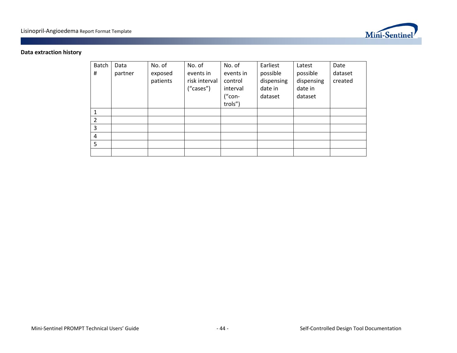

# **Data extraction history**

| Batch<br>#     | Data<br>partner | No. of<br>exposed<br>patients | No. of<br>events in<br>risk interval<br>("cases") | No. of<br>events in<br>control<br>interval<br>("con-<br>trols") | Earliest<br>possible<br>dispensing<br>date in<br>dataset | Latest<br>possible<br>dispensing<br>date in<br>dataset | Date<br>dataset<br>created |
|----------------|-----------------|-------------------------------|---------------------------------------------------|-----------------------------------------------------------------|----------------------------------------------------------|--------------------------------------------------------|----------------------------|
|                |                 |                               |                                                   |                                                                 |                                                          |                                                        |                            |
| $\overline{2}$ |                 |                               |                                                   |                                                                 |                                                          |                                                        |                            |
| 3              |                 |                               |                                                   |                                                                 |                                                          |                                                        |                            |
| $\overline{4}$ |                 |                               |                                                   |                                                                 |                                                          |                                                        |                            |
| 5              |                 |                               |                                                   |                                                                 |                                                          |                                                        |                            |
|                |                 |                               |                                                   |                                                                 |                                                          |                                                        |                            |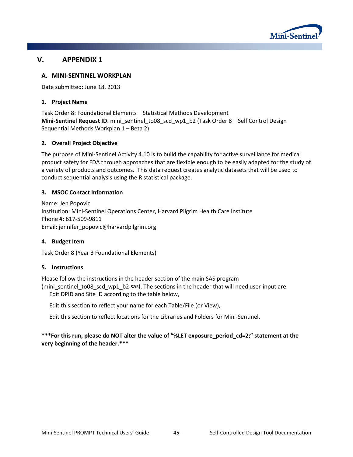

# **V. APPENDIX 1**

### **A. MINI-SENTINEL WORKPLAN**

Date submitted: June 18, 2013

#### **1. Project Name**

Task Order 8: Foundational Elements – Statistical Methods Development **Mini-Sentinel Request ID**: mini\_sentinel\_to08\_scd\_wp1\_b2 (Task Order 8 – Self Control Design Sequential Methods Workplan 1 – Beta 2)

#### **2. Overall Project Objective**

The purpose of Mini-Sentinel Activity 4.10 is to build the capability for active surveillance for medical product safety for FDA through approaches that are flexible enough to be easily adapted for the study of a variety of products and outcomes. This data request creates analytic datasets that will be used to conduct sequential analysis using the R statistical package.

#### **3. MSOC Contact Information**

Name: Jen Popovic Institution: Mini-Sentinel Operations Center, Harvard Pilgrim Health Care Institute Phone #: 617-509-9811 Email: jennifer\_popovic@harvardpilgrim.org

#### **4. Budget Item**

Task Order 8 (Year 3 Foundational Elements)

#### **5. Instructions**

Please follow the instructions in the header section of the main SAS program

(mini\_sentinel\_to08\_scd\_wp1\_b2.sas). The sections in the header that will need user-input are: Edit DPID and Site ID according to the table below,

Edit this section to reflect your name for each Table/File (or View),

Edit this section to reflect locations for the Libraries and Folders for Mini-Sentinel.

#### **\*\*\*For this run, please do NOT alter the value of "%LET exposure\_period\_cd=2;" statement at the very beginning of the header.\*\*\***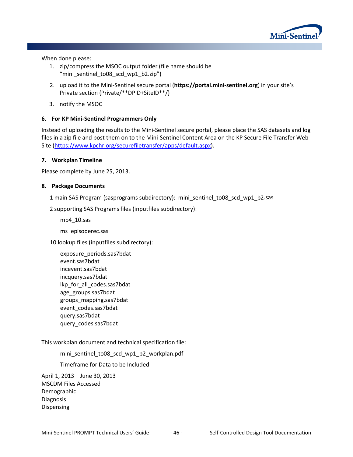

When done please:

- 1. zip/compress the MSOC output folder (file name should be "mini\_sentinel\_to08\_scd\_wp1\_b2.zip")
- 2. upload it to the Mini-Sentinel secure portal (**[https://portal.mini-sentinel.org](https://portal.mini-sentinel.org/)**) in your site's Private section (Private/\*\*DPID+SiteID\*\*/)
- 3. notify the MSOC

#### **6. For KP Mini-Sentinel Programmers Only**

Instead of uploading the results to the Mini-Sentinel secure portal, please place the SAS datasets and log files in a zip file and post them on to the Mini-Sentinel Content Area on the KP Secure File Transfer Web Site [\(https://www.kpchr.org/securefiletransfer/apps/default.aspx\)](https://www.kpchr.org/securefiletransfer/apps/default.aspx).

#### **7. Workplan Timeline**

Please complete by June 25, 2013.

#### **8. Package Documents**

1 main SAS Program (sasprograms subdirectory): mini\_sentinel\_to08\_scd\_wp1\_b2.sas

2 supporting SAS Programs files (inputfiles subdirectory):

mp4\_10.sas

ms\_episoderec.sas

10 lookup files (inputfiles subdirectory):

exposure\_periods.sas7bdat event.sas7bdat incevent.sas7bdat incquery.sas7bdat lkp\_for\_all\_codes.sas7bdat age\_groups.sas7bdat groups\_mapping.sas7bdat event\_codes.sas7bdat query.sas7bdat query\_codes.sas7bdat

This workplan document and technical specification file:

mini\_sentinel\_to08\_scd\_wp1\_b2\_workplan.pdf

Timeframe for Data to be Included

April 1, 2013 – June 30, 2013 MSCDM Files Accessed Demographic Diagnosis Dispensing